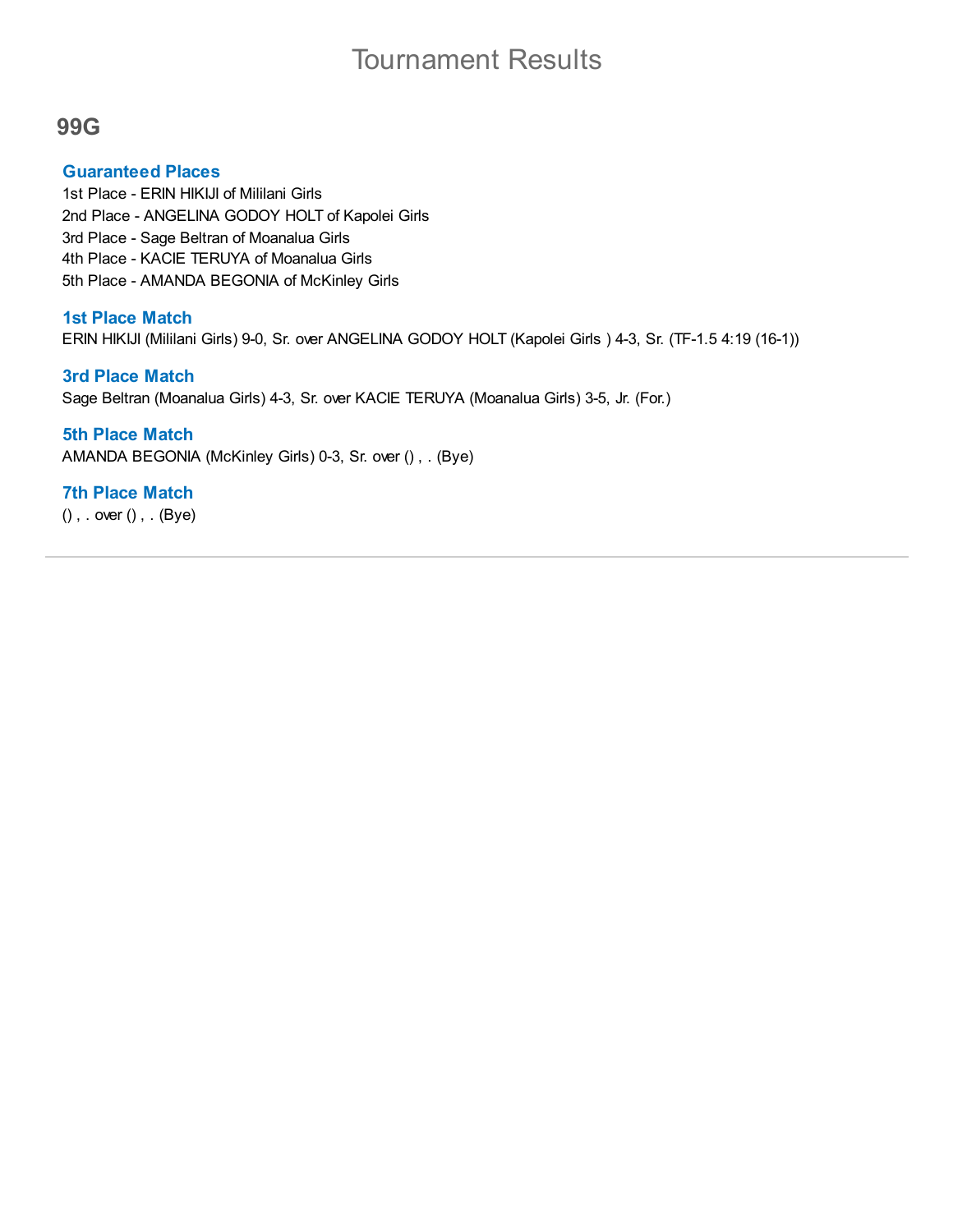# Tournament Results

## **99G**

## **Guaranteed Places**

1st Place - ERIN HIKIJI of Mililani Girls 2nd Place - ANGELINA GODOY HOLT of Kapolei Girls 3rd Place - Sage Beltran of Moanalua Girls 4th Place - KACIE TERUYA of Moanalua Girls 5th Place - AMANDA BEGONIA of McKinley Girls

## **1st Place Match**

ERIN HIKIJI (Mililani Girls) 9-0, Sr. over ANGELINA GODOY HOLT (Kapolei Girls ) 4-3, Sr. (TF-1.5 4:19 (16-1))

## **3rd Place Match**

Sage Beltran (Moanalua Girls) 4-3, Sr. over KACIE TERUYA (Moanalua Girls) 3-5, Jr. (For.)

## **5th Place Match**

AMANDA BEGONIA (McKinley Girls) 0-3, Sr. over () , . (Bye)

## **7th Place Match**

() , . over () , . (Bye)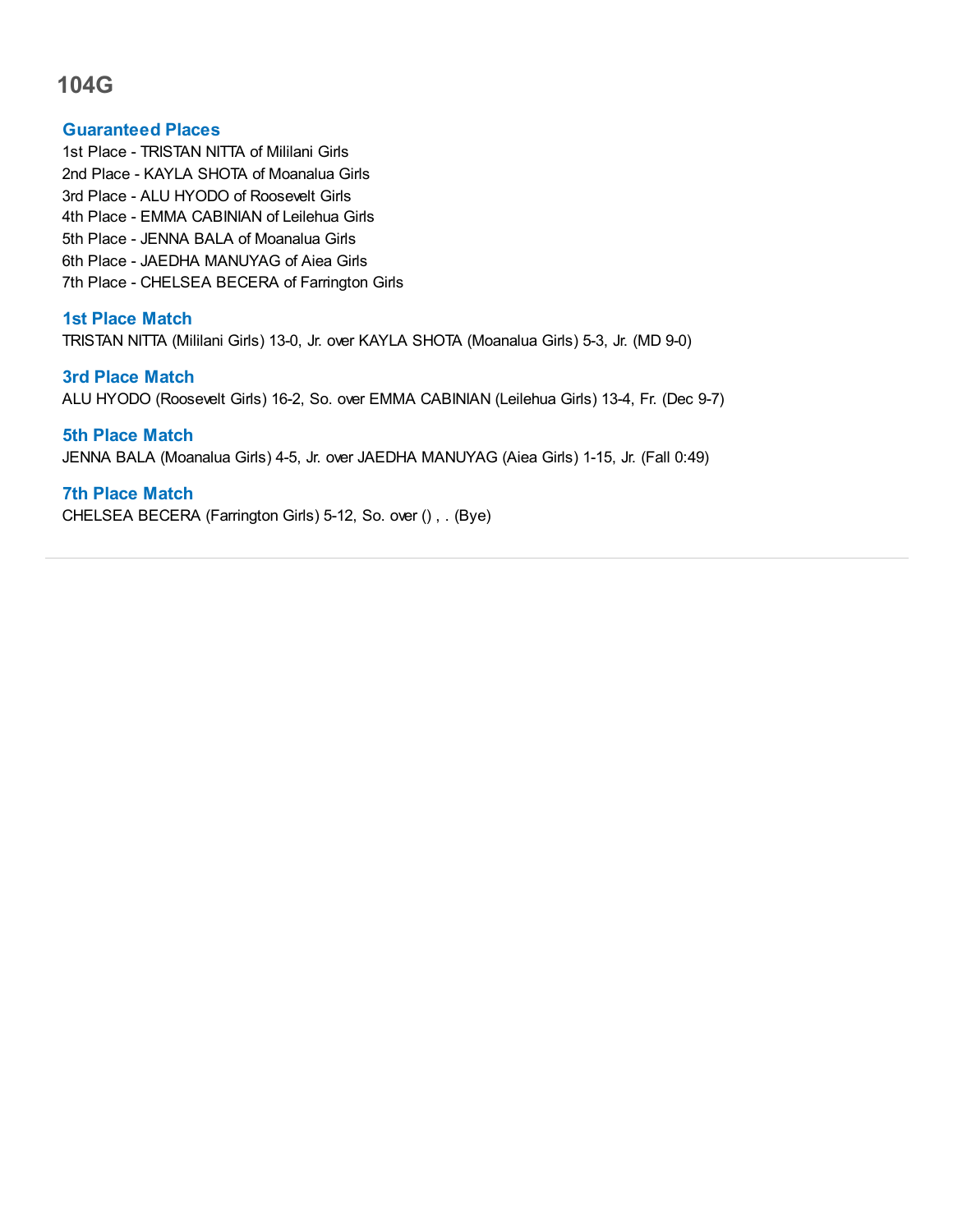#### **Guaranteed Places**

1st Place - TRISTAN NITTA of Mililani Girls 2nd Place - KAYLA SHOTA of Moanalua Girls 3rd Place - ALU HYODO of Roosevelt Girls 4th Place - EMMA CABINIAN of Leilehua Girls 5th Place - JENNA BALA of Moanalua Girls 6th Place - JAEDHA MANUYAG of Aiea Girls 7th Place - CHELSEA BECERA of Farrington Girls

## **1st Place Match**

TRISTAN NITTA (Mililani Girls) 13-0, Jr. over KAYLA SHOTA (Moanalua Girls) 5-3, Jr. (MD 9-0)

## **3rd Place Match**

ALU HYODO (Roosevelt Girls) 16-2, So. over EMMA CABINIAN (Leilehua Girls) 13-4, Fr. (Dec 9-7)

#### **5th Place Match**

JENNA BALA (Moanalua Girls) 4-5, Jr. over JAEDHA MANUYAG (Aiea Girls) 1-15, Jr. (Fall 0:49)

#### **7th Place Match**

CHELSEA BECERA (Farrington Girls) 5-12, So. over () , . (Bye)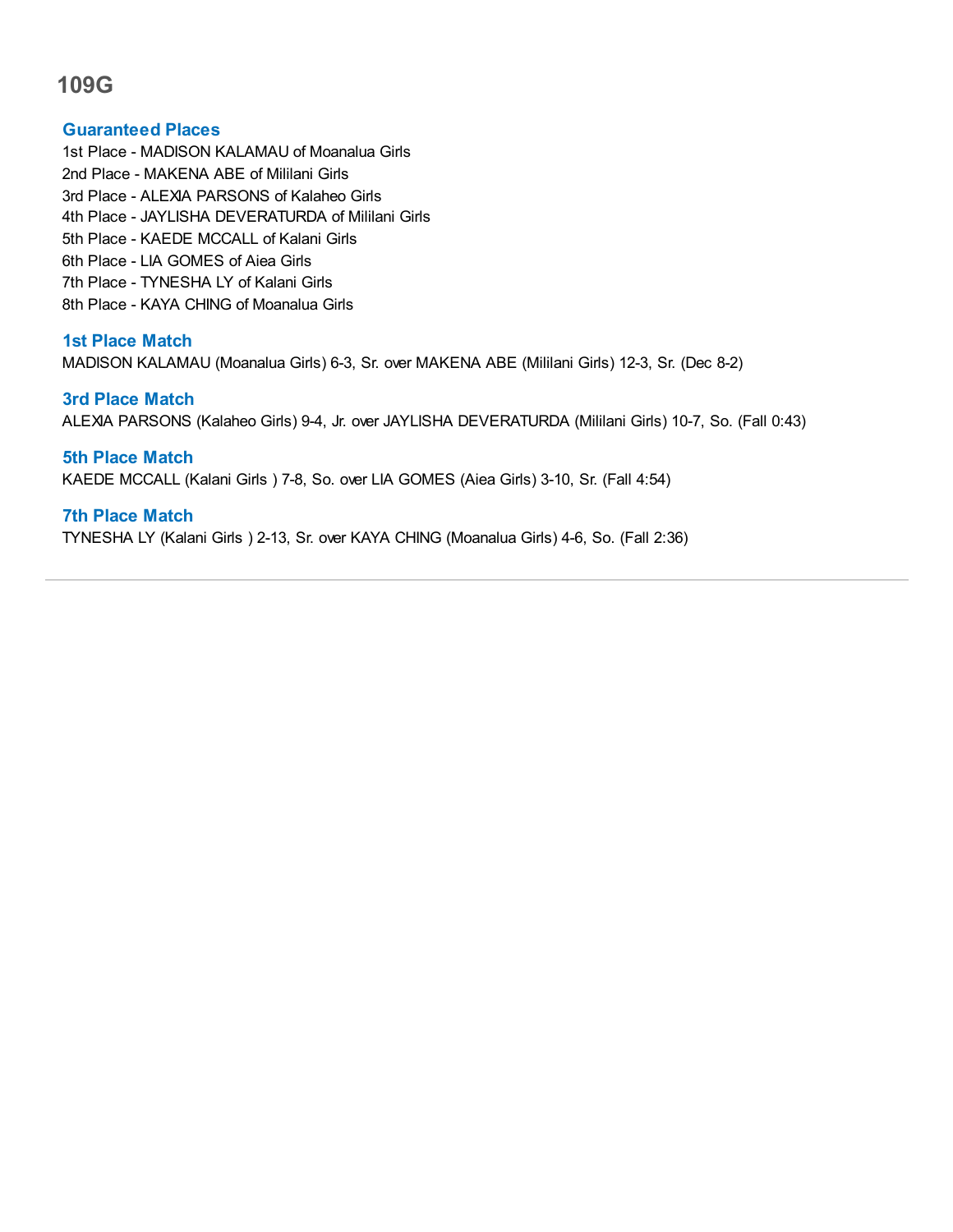#### **Guaranteed Places**

1st Place - MADISON KALAMAU of Moanalua Girls 2nd Place - MAKENA ABE of Mililani Girls 3rd Place - ALEXIA PARSONS of Kalaheo Girls 4th Place - JAYLISHA DEVERATURDA of Mililani Girls 5th Place - KAEDE MCCALL of Kalani Girls 6th Place - LIA GOMES of Aiea Girls 7th Place - TYNESHA LY of Kalani Girls 8th Place - KAYA CHING of Moanalua Girls

## **1st Place Match**

MADISON KALAMAU (Moanalua Girls) 6-3, Sr. over MAKENA ABE (Mililani Girls) 12-3, Sr. (Dec 8-2)

#### **3rd Place Match**

ALEXIA PARSONS (Kalaheo Girls) 9-4, Jr. over JAYLISHA DEVERATURDA (Mililani Girls) 10-7, So. (Fall 0:43)

**5th Place Match** KAEDE MCCALL (Kalani Girls ) 7-8, So. over LIA GOMES (Aiea Girls) 3-10, Sr. (Fall 4:54)

## **7th Place Match**

TYNESHA LY (Kalani Girls ) 2-13, Sr. over KAYA CHING (Moanalua Girls) 4-6, So. (Fall 2:36)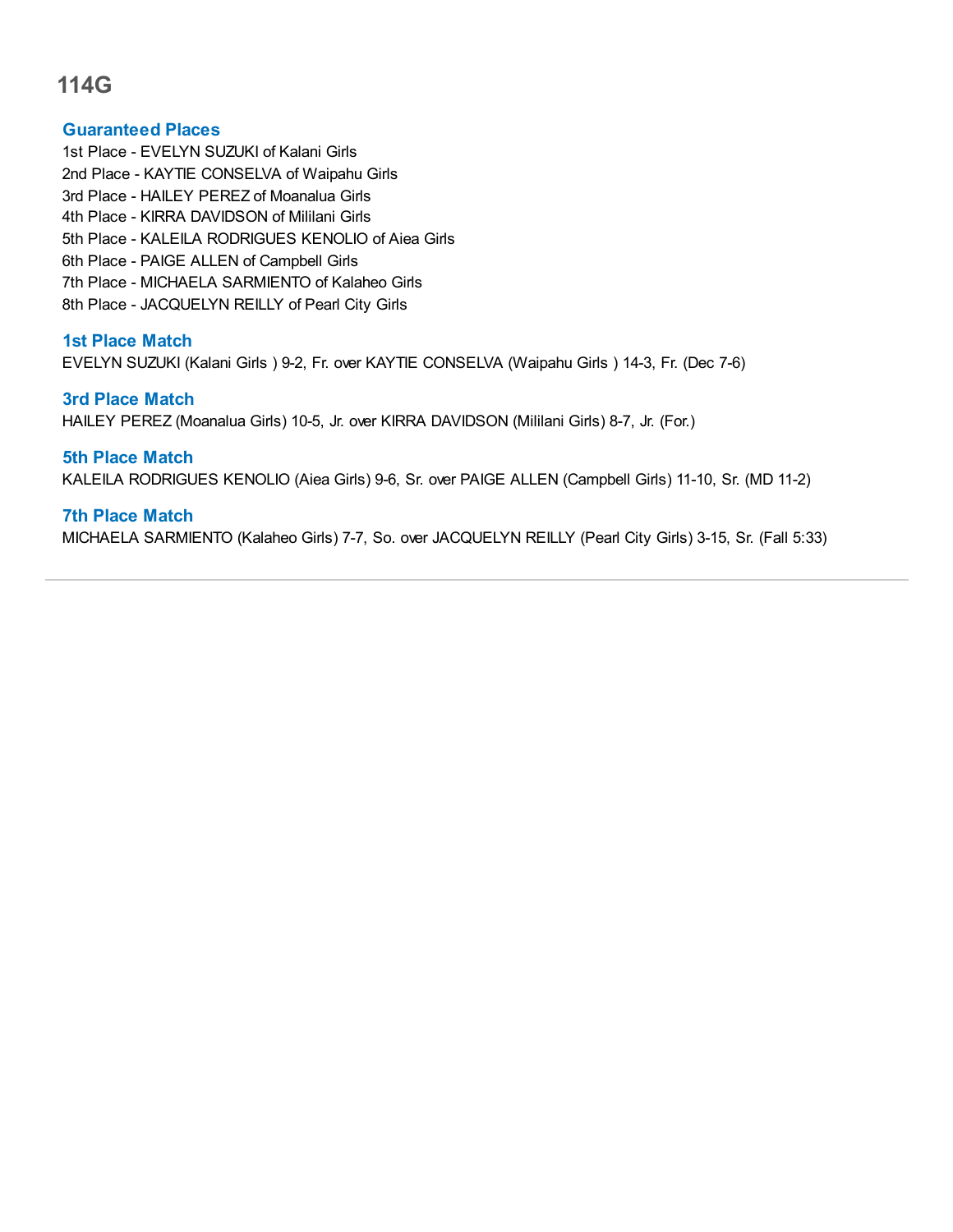#### **Guaranteed Places**

1st Place - EVELYN SUZUKI of Kalani Girls 2nd Place - KAYTIE CONSELVA of Waipahu Girls 3rd Place - HAILEY PEREZ of Moanalua Girls 4th Place - KIRRA DAVIDSON of Mililani Girls 5th Place - KALEILA RODRIGUES KENOLIO of Aiea Girls 6th Place - PAIGE ALLEN of Campbell Girls 7th Place - MICHAELA SARMIENTO of Kalaheo Girls 8th Place - JACQUELYN REILLY of Pearl City Girls

## **1st Place Match**

EVELYN SUZUKI (Kalani Girls ) 9-2, Fr. over KAYTIE CONSELVA (Waipahu Girls ) 14-3, Fr. (Dec 7-6)

#### **3rd Place Match**

HAILEY PEREZ (Moanalua Girls) 10-5, Jr. over KIRRA DAVIDSON (Mililani Girls) 8-7, Jr. (For.)

## **5th Place Match**

KALEILA RODRIGUES KENOLIO (Aiea Girls) 9-6, Sr. over PAIGE ALLEN (Campbell Girls) 11-10, Sr. (MD 11-2)

## **7th Place Match**

MICHAELA SARMIENTO (Kalaheo Girls) 7-7, So. over JACQUELYN REILLY (Pearl City Girls) 3-15, Sr. (Fall 5:33)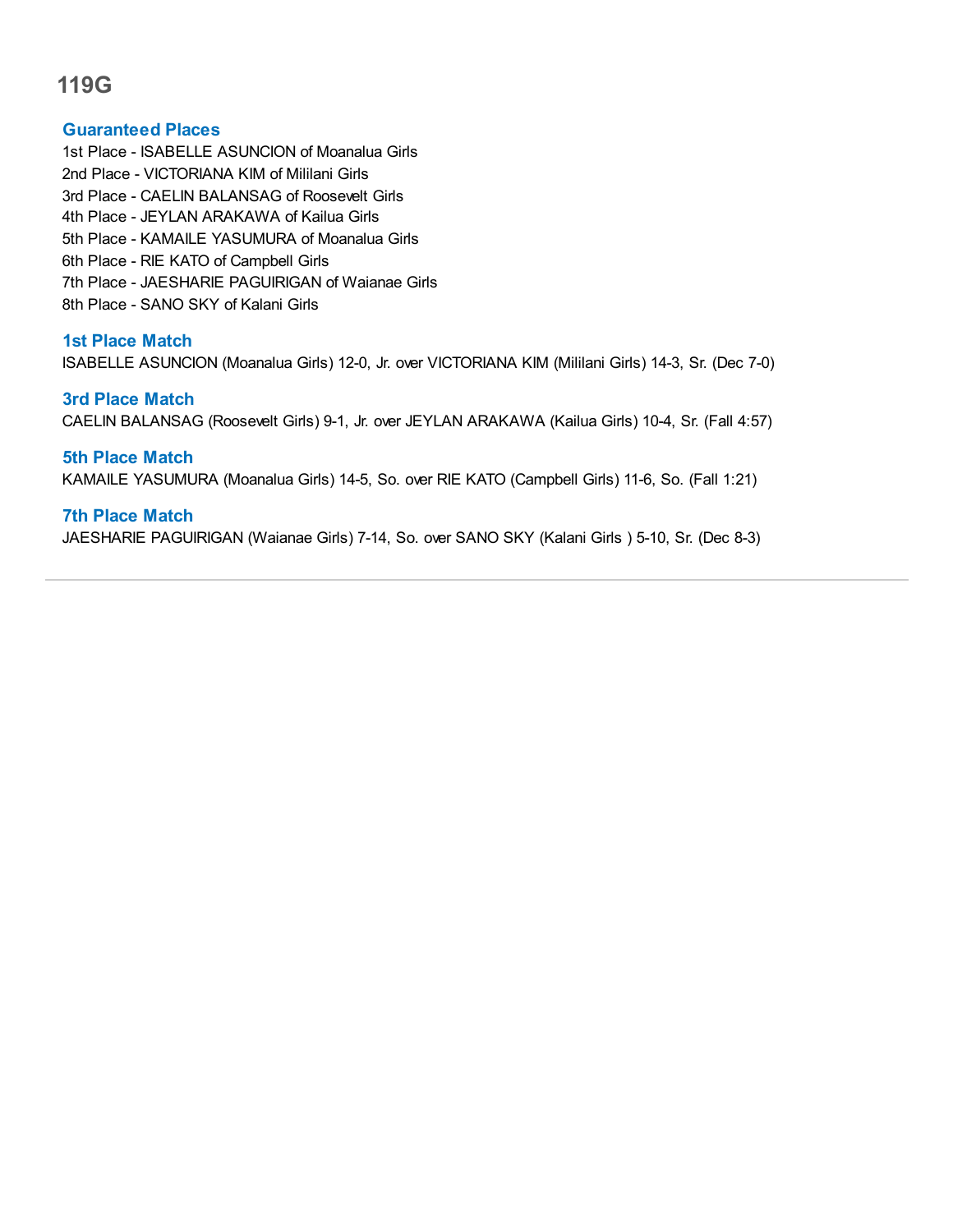#### **Guaranteed Places**

- 1st Place ISABELLE ASUNCION of Moanalua Girls
- 2nd Place VICTORIANA KIM of Mililani Girls
- 3rd Place CAELIN BALANSAG of Roosevelt Girls
- 4th Place JEYLAN ARAKAWA of Kailua Girls
- 5th Place KAMAILE YASUMURA of Moanalua Girls
- 6th Place RIE KATO of Campbell Girls
- 7th Place JAESHARIE PAGUIRIGAN of Waianae Girls
- 8th Place SANO SKY of Kalani Girls

## **1st Place Match**

ISABELLE ASUNCION (Moanalua Girls) 12-0, Jr. over VICTORIANA KIM (Mililani Girls) 14-3, Sr. (Dec 7-0)

## **3rd Place Match**

CAELIN BALANSAG (Roosevelt Girls) 9-1, Jr. over JEYLAN ARAKAWA (Kailua Girls) 10-4, Sr. (Fall 4:57)

## **5th Place Match**

KAMAILE YASUMURA (Moanalua Girls) 14-5, So. over RIE KATO (Campbell Girls) 11-6, So. (Fall 1:21)

## **7th Place Match**

JAESHARIE PAGUIRIGAN (Waianae Girls) 7-14, So. over SANO SKY (Kalani Girls ) 5-10, Sr. (Dec 8-3)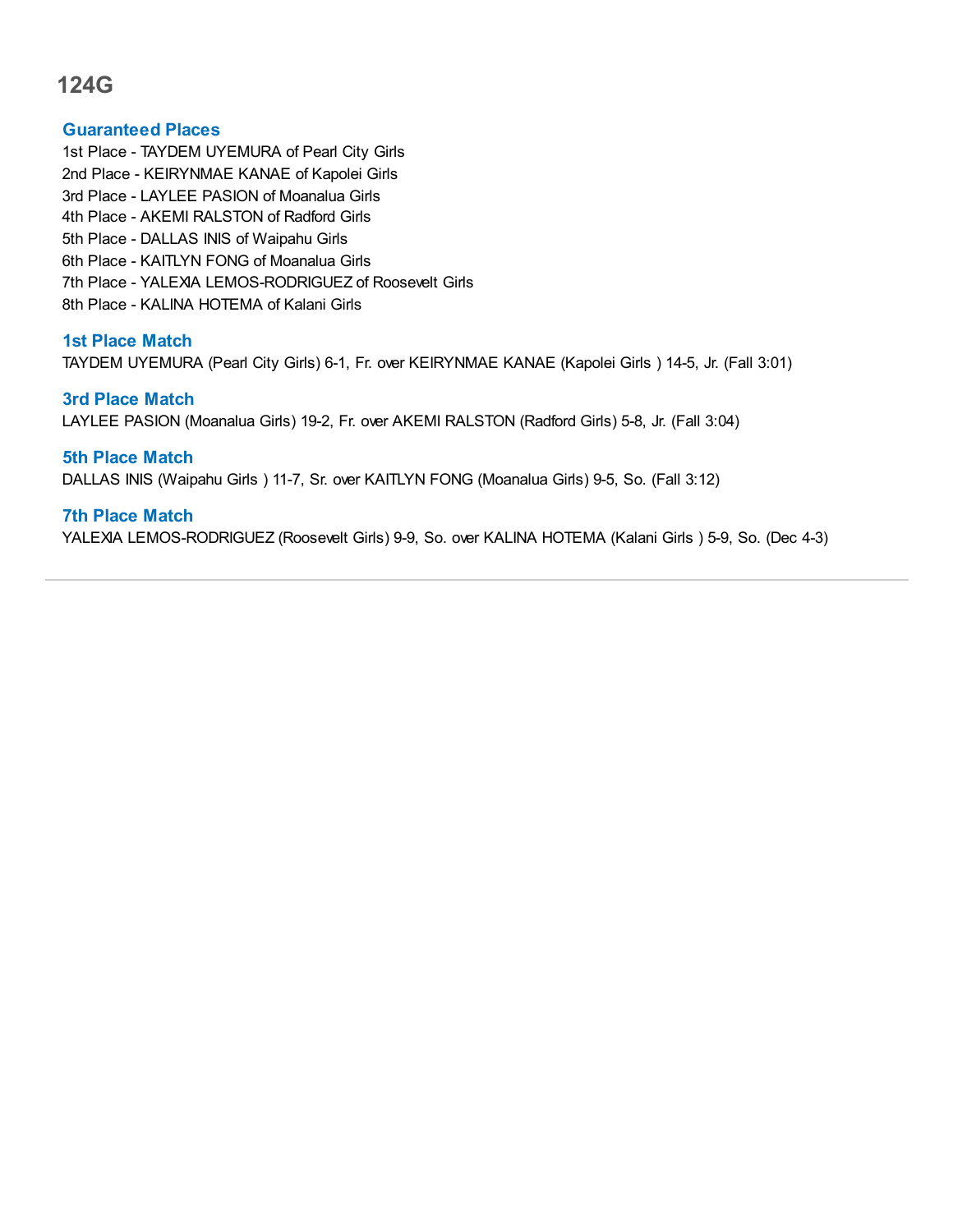#### **Guaranteed Places**

1st Place - TAYDEM UYEMURA of Pearl City Girls 2nd Place - KEIRYNMAE KANAE of Kapolei Girls 3rd Place - LAYLEE PASION of Moanalua Girls 4th Place - AKEMI RALSTON of Radford Girls 5th Place - DALLAS INIS of Waipahu Girls 6th Place - KAITLYN FONG of Moanalua Girls 7th Place - YALEXIA LEMOS-RODRIGUEZ of Roosevelt Girls 8th Place - KALINA HOTEMA of Kalani Girls

## **1st Place Match**

TAYDEM UYEMURA (Pearl City Girls) 6-1, Fr. over KEIRYNMAE KANAE (Kapolei Girls ) 14-5, Jr. (Fall 3:01)

#### **3rd Place Match**

LAYLEE PASION (Moanalua Girls) 19-2, Fr. over AKEMI RALSTON (Radford Girls) 5-8, Jr. (Fall 3:04)

## **5th Place Match**

DALLAS INIS (Waipahu Girls ) 11-7, Sr. over KAITLYN FONG (Moanalua Girls) 9-5, So. (Fall 3:12)

## **7th Place Match**

YALEXIA LEMOS-RODRIGUEZ (Roosevelt Girls) 9-9, So. over KALINA HOTEMA (Kalani Girls ) 5-9, So. (Dec 4-3)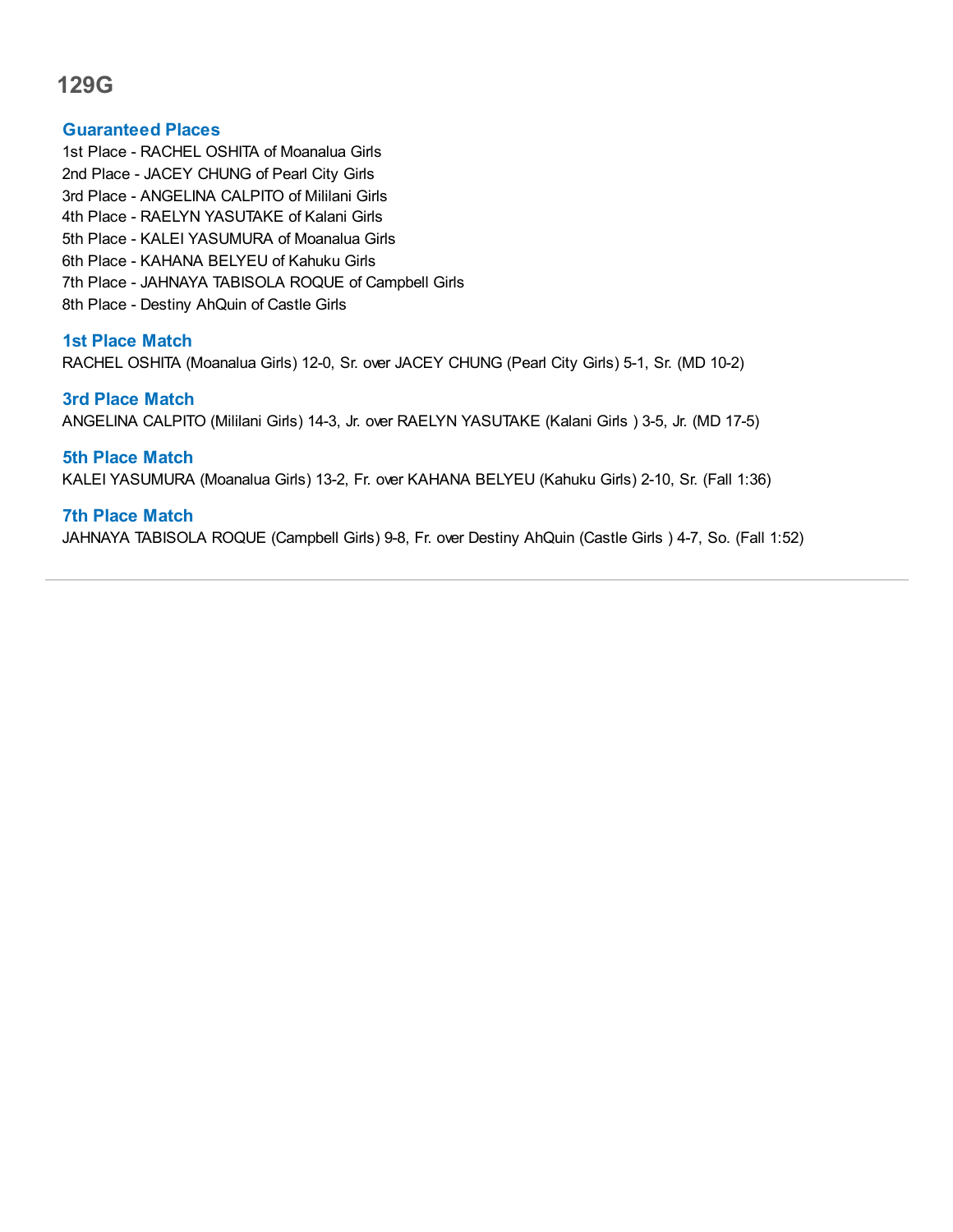## **Guaranteed Places**

1st Place - RACHEL OSHITA of Moanalua Girls 2nd Place - JACEY CHUNG of Pearl City Girls 3rd Place - ANGELINA CALPITO of Mililani Girls 4th Place - RAELYN YASUTAKE of Kalani Girls 5th Place - KALEI YASUMURA of Moanalua Girls 6th Place - KAHANA BELYEU of Kahuku Girls 7th Place - JAHNAYA TABISOLA ROQUE of Campbell Girls 8th Place - Destiny AhQuin of Castle Girls

## **1st Place Match**

RACHEL OSHITA (Moanalua Girls) 12-0, Sr. over JACEY CHUNG (Pearl City Girls) 5-1, Sr. (MD 10-2)

#### **3rd Place Match**

ANGELINA CALPITO (Mililani Girls) 14-3, Jr. over RAELYN YASUTAKE (Kalani Girls ) 3-5, Jr. (MD 17-5)

**5th Place Match** KALEI YASUMURA (Moanalua Girls) 13-2, Fr. over KAHANA BELYEU (Kahuku Girls) 2-10, Sr. (Fall 1:36)

## **7th Place Match**

JAHNAYA TABISOLA ROQUE (Campbell Girls) 9-8, Fr. over Destiny AhQuin (Castle Girls ) 4-7, So. (Fall 1:52)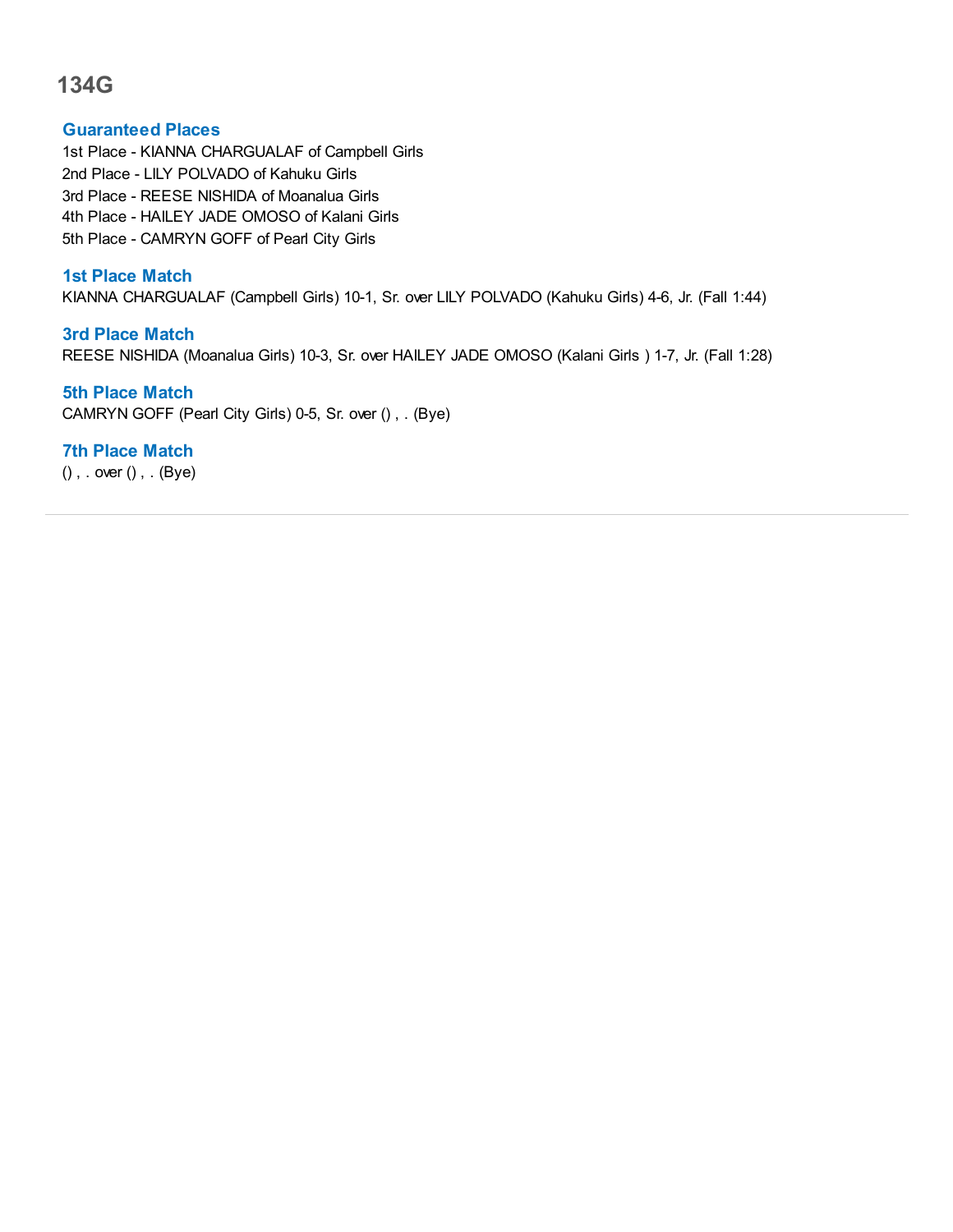#### **Guaranteed Places**

1st Place - KIANNA CHARGUALAF of Campbell Girls 2nd Place - LILY POLVADO of Kahuku Girls 3rd Place - REESE NISHIDA of Moanalua Girls 4th Place - HAILEY JADE OMOSO of Kalani Girls 5th Place - CAMRYN GOFF of Pearl City Girls

## **1st Place Match**

KIANNA CHARGUALAF (Campbell Girls) 10-1, Sr. over LILY POLVADO (Kahuku Girls) 4-6, Jr. (Fall 1:44)

## **3rd Place Match** REESE NISHIDA (Moanalua Girls) 10-3, Sr. over HAILEY JADE OMOSO (Kalani Girls ) 1-7, Jr. (Fall 1:28)

**5th Place Match** CAMRYN GOFF (Pearl City Girls) 0-5, Sr. over () , . (Bye)

## **7th Place Match**

() , . over () , . (Bye)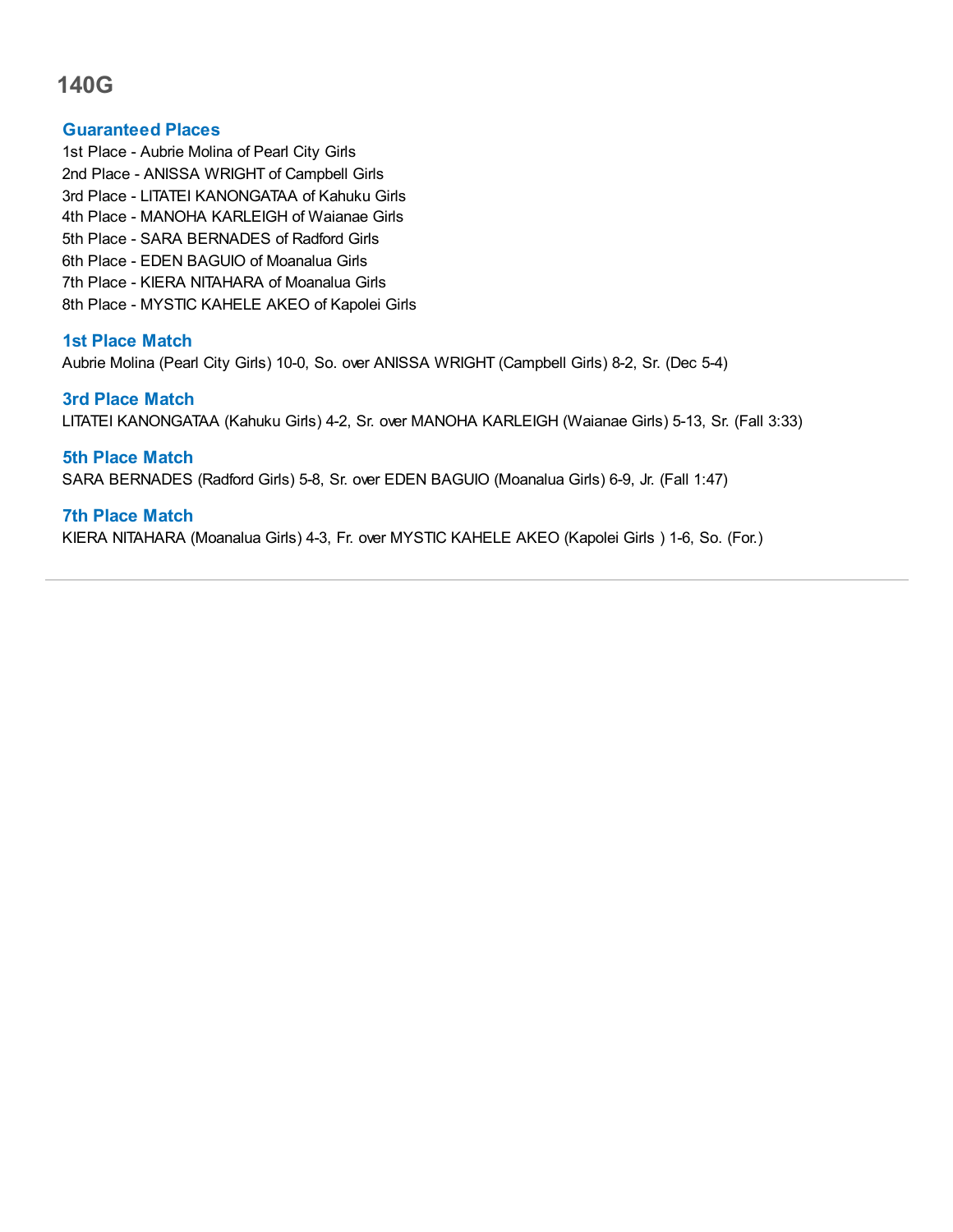## **Guaranteed Places**

1st Place - Aubrie Molina of Pearl City Girls 2nd Place - ANISSA WRIGHT of Campbell Girls 3rd Place - LITATEI KANONGATAA of Kahuku Girls 4th Place - MANOHA KARLEIGH of Waianae Girls 5th Place - SARA BERNADES of Radford Girls 6th Place - EDEN BAGUIO of Moanalua Girls 7th Place - KIERA NITAHARA of Moanalua Girls 8th Place - MYSTIC KAHELE AKEO of Kapolei Girls

## **1st Place Match**

Aubrie Molina (Pearl City Girls) 10-0, So. over ANISSA WRIGHT (Campbell Girls) 8-2, Sr. (Dec 5-4)

#### **3rd Place Match**

LITATEI KANONGATAA (Kahuku Girls) 4-2, Sr. over MANOHA KARLEIGH (Waianae Girls) 5-13, Sr. (Fall 3:33)

## **5th Place Match**

SARA BERNADES (Radford Girls) 5-8, Sr. over EDEN BAGUIO (Moanalua Girls) 6-9, Jr. (Fall 1:47)

## **7th Place Match**

KIERA NITAHARA (Moanalua Girls) 4-3, Fr. over MYSTIC KAHELE AKEO (Kapolei Girls ) 1-6, So. (For.)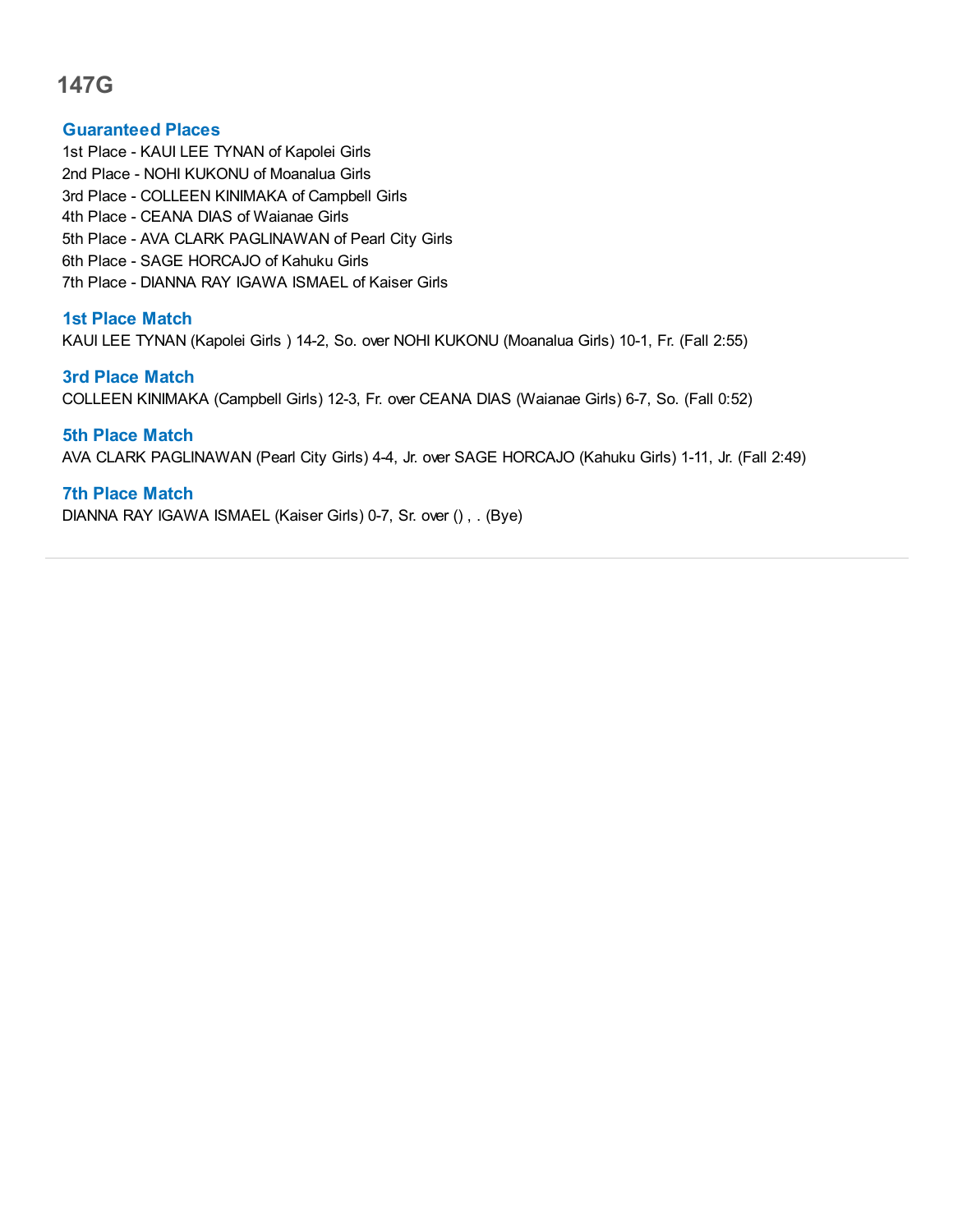## **Guaranteed Places**

- 1st Place KAUI LEE TYNAN of Kapolei Girls
- 2nd Place NOHI KUKONU of Moanalua Girls
- 3rd Place COLLEEN KINIMAKA of Campbell Girls
- 4th Place CEANA DIAS of Waianae Girls
- 5th Place AVA CLARK PAGLINAWAN of Pearl City Girls
- 6th Place SAGE HORCAJO of Kahuku Girls
- 7th Place DIANNA RAY IGAWA ISMAEL of Kaiser Girls

## **1st Place Match**

KAUI LEE TYNAN (Kapolei Girls ) 14-2, So. over NOHI KUKONU (Moanalua Girls) 10-1, Fr. (Fall 2:55)

## **3rd Place Match**

COLLEEN KINIMAKA (Campbell Girls) 12-3, Fr. over CEANA DIAS (Waianae Girls) 6-7, So. (Fall 0:52)

## **5th Place Match**

AVA CLARK PAGLINAWAN (Pearl City Girls) 4-4, Jr. over SAGE HORCAJO (Kahuku Girls) 1-11, Jr. (Fall 2:49)

## **7th Place Match**

DIANNA RAY IGAWA ISMAEL (Kaiser Girls) 0-7, Sr. over () , . (Bye)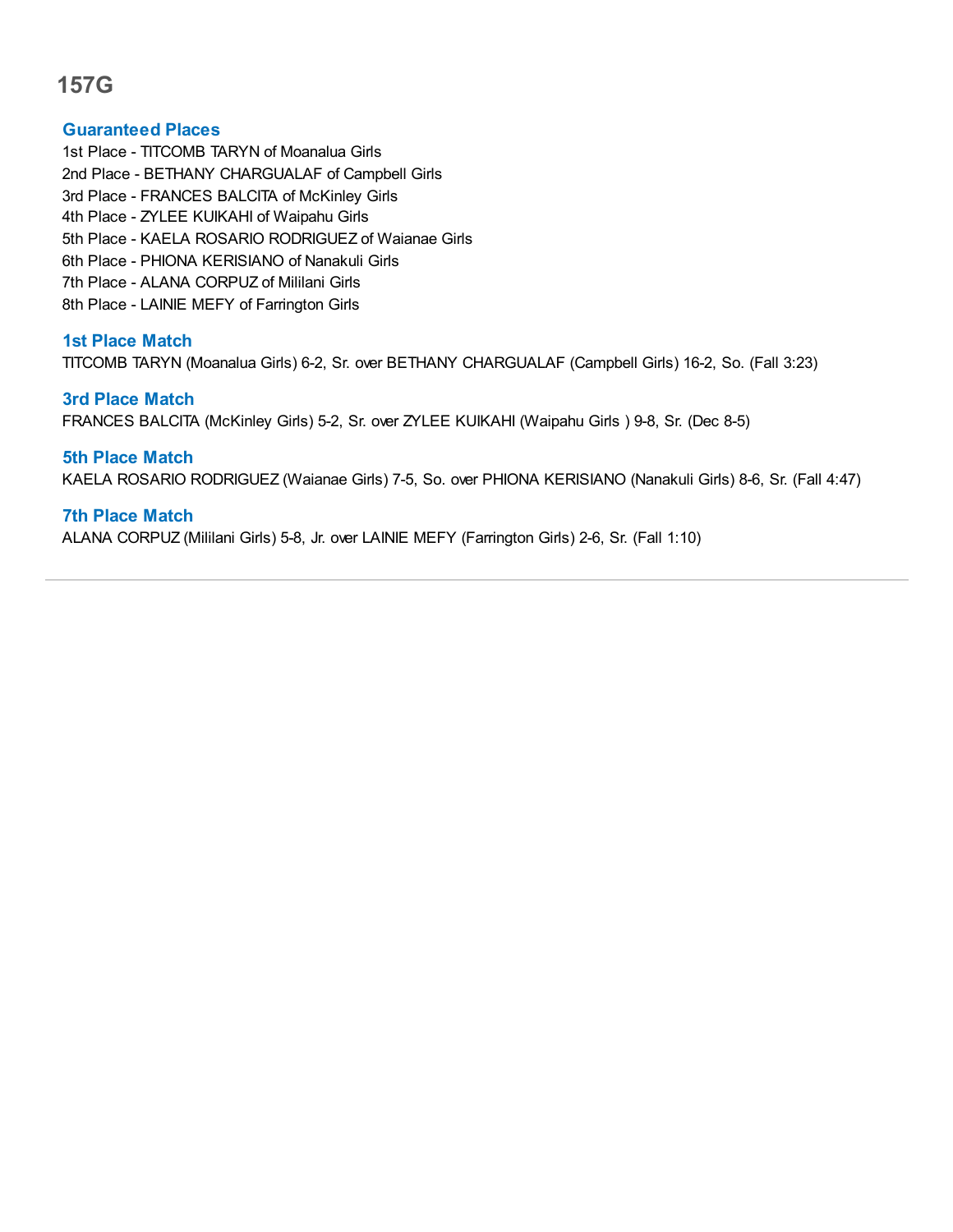## **Guaranteed Places**

1st Place - TITCOMB TARYN of Moanalua Girls 2nd Place - BETHANY CHARGUALAF of Campbell Girls 3rd Place - FRANCES BALCITA of McKinley Girls 4th Place - ZYLEE KUIKAHI of Waipahu Girls 5th Place - KAELA ROSARIO RODRIGUEZ of Waianae Girls 6th Place - PHIONA KERISIANO of Nanakuli Girls 7th Place - ALANA CORPUZ of Mililani Girls 8th Place - LAINIE MEFY of Farrington Girls

## **1st Place Match**

TITCOMB TARYN (Moanalua Girls) 6-2, Sr. over BETHANY CHARGUALAF (Campbell Girls) 16-2, So. (Fall 3:23)

#### **3rd Place Match**

FRANCES BALCITA (McKinley Girls) 5-2, Sr. over ZYLEE KUIKAHI (Waipahu Girls ) 9-8, Sr. (Dec 8-5)

## **5th Place Match**

KAELA ROSARIO RODRIGUEZ (Waianae Girls) 7-5, So. over PHIONA KERISIANO (Nanakuli Girls) 8-6, Sr. (Fall 4:47)

## **7th Place Match**

ALANA CORPUZ (Mililani Girls) 5-8, Jr. over LAINIE MEFY (Farrington Girls) 2-6, Sr. (Fall 1:10)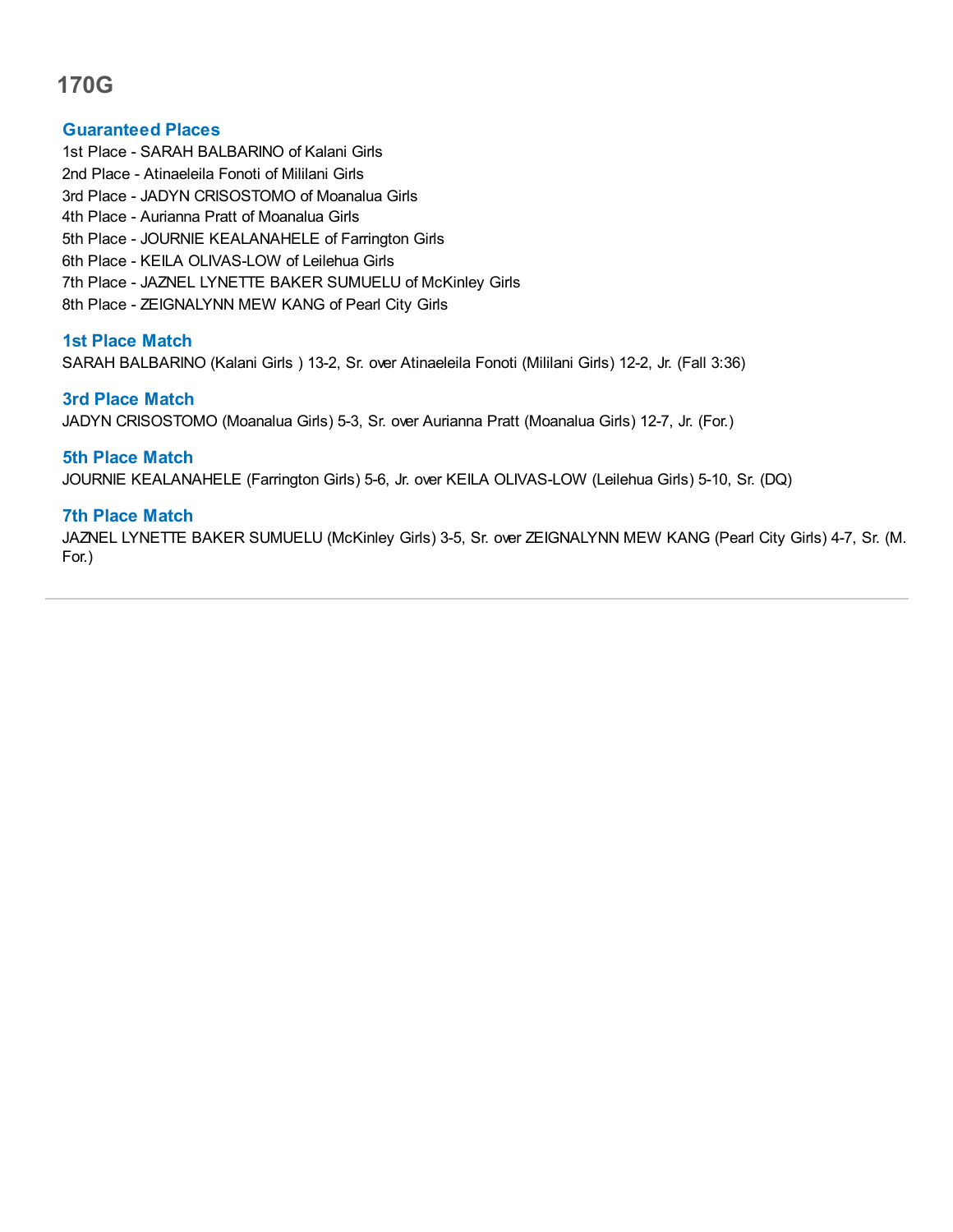## **Guaranteed Places**

- 1st Place SARAH BALBARINO of Kalani Girls
- 2nd Place Atinaeleila Fonoti of Mililani Girls
- 3rd Place JADYN CRISOSTOMO of Moanalua Girls
- 4th Place Aurianna Pratt of Moanalua Girls
- 5th Place JOURNIE KEALANAHELE of Farrington Girls
- 6th Place KEILA OLIVAS-LOW of Leilehua Girls
- 7th Place JAZNEL LYNETTE BAKER SUMUELU of McKinley Girls
- 8th Place ZEIGNALYNN MEW KANG of Pearl City Girls

## **1st Place Match**

SARAH BALBARINO (Kalani Girls ) 13-2, Sr. over Atinaeleila Fonoti (Mililani Girls) 12-2, Jr. (Fall 3:36)

## **3rd Place Match**

JADYN CRISOSTOMO (Moanalua Girls) 5-3, Sr. over Aurianna Pratt (Moanalua Girls) 12-7, Jr. (For.)

## **5th Place Match**

JOURNIE KEALANAHELE (Farrington Girls) 5-6, Jr. over KEILA OLIVAS-LOW (Leilehua Girls) 5-10, Sr. (DQ)

## **7th Place Match**

JAZNEL LYNETTE BAKER SUMUELU (McKinley Girls) 3-5, Sr. over ZEIGNALYNN MEW KANG (Pearl City Girls) 4-7, Sr. (M. For.)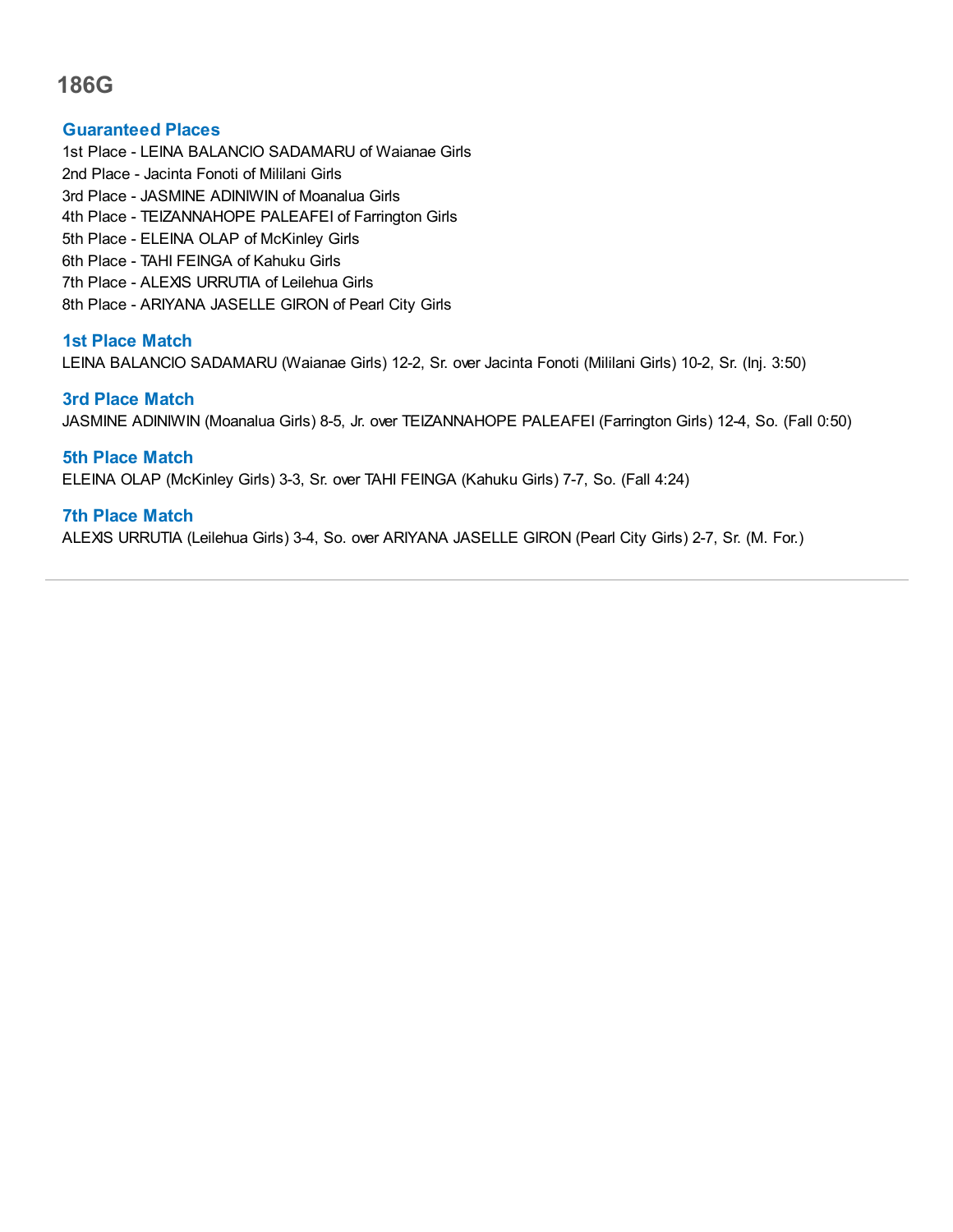### **Guaranteed Places**

1st Place - LEINA BALANCIO SADAMARU of Waianae Girls

- 2nd Place Jacinta Fonoti of Mililani Girls
- 3rd Place JASMINE ADINIWIN of Moanalua Girls
- 4th Place TEIZANNAHOPE PALEAFEI of Farrington Girls
- 5th Place ELEINA OLAP of McKinley Girls
- 6th Place TAHI FEINGA of Kahuku Girls
- 7th Place ALEXIS URRUTIA of Leilehua Girls
- 8th Place ARIYANA JASELLE GIRON of Pearl City Girls

## **1st Place Match**

LEINA BALANCIO SADAMARU (Waianae Girls) 12-2, Sr. over Jacinta Fonoti (Mililani Girls) 10-2, Sr. (Inj. 3:50)

## **3rd Place Match**

JASMINE ADINIWIN (Moanalua Girls) 8-5, Jr. over TEIZANNAHOPE PALEAFEI (Farrington Girls) 12-4, So. (Fall 0:50)

**5th Place Match** ELEINA OLAP (McKinley Girls) 3-3, Sr. over TAHI FEINGA (Kahuku Girls) 7-7, So. (Fall 4:24)

## **7th Place Match**

ALEXIS URRUTIA (Leilehua Girls) 3-4, So. over ARIYANA JASELLE GIRON (Pearl City Girls) 2-7, Sr. (M. For.)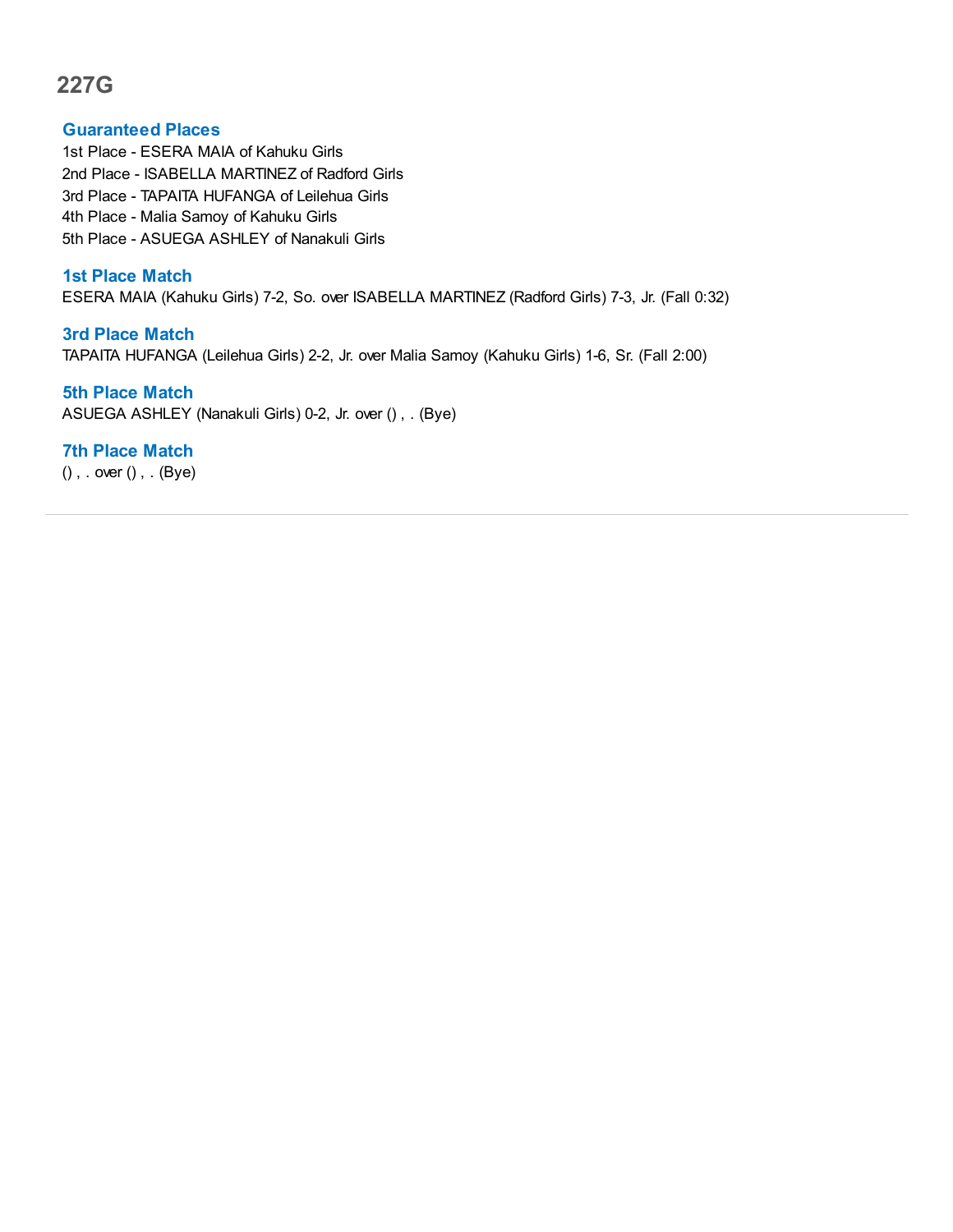#### **Guaranteed Places**

1st Place - ESERA MAIA of Kahuku Girls 2nd Place - ISABELLA MARTINEZ of Radford Girls 3rd Place - TAPAITA HUFANGA of Leilehua Girls 4th Place - Malia Samoy of Kahuku Girls 5th Place - ASUEGA ASHLEY of Nanakuli Girls

#### **1st Place Match**

ESERA MAIA (Kahuku Girls) 7-2, So. over ISABELLA MARTINEZ (Radford Girls) 7-3, Jr. (Fall 0:32)

## **3rd Place Match**

TAPAITA HUFANGA (Leilehua Girls) 2-2, Jr. over Malia Samoy (Kahuku Girls) 1-6, Sr. (Fall 2:00)

#### **5th Place Match**

ASUEGA ASHLEY (Nanakuli Girls) 0-2, Jr. over () , . (Bye)

## **7th Place Match**

() , . over () , . (Bye)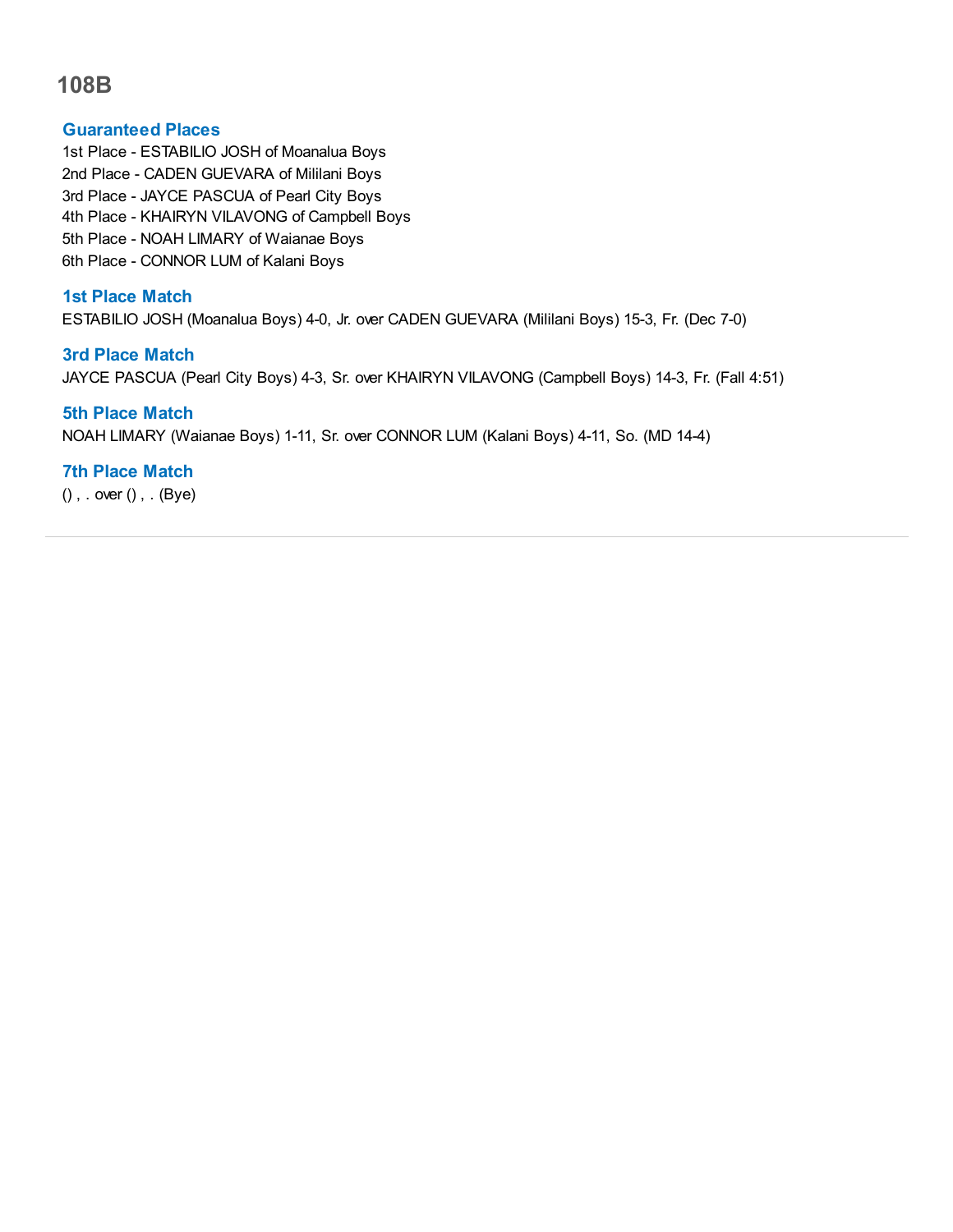## **Guaranteed Places**

1st Place - ESTABILIO JOSH of Moanalua Boys 2nd Place - CADEN GUEVARA of Mililani Boys 3rd Place - JAYCE PASCUA of Pearl City Boys 4th Place - KHAIRYN VILAVONG of Campbell Boys 5th Place - NOAH LIMARY of Waianae Boys 6th Place - CONNOR LUM of Kalani Boys

## **1st Place Match**

ESTABILIO JOSH (Moanalua Boys) 4-0, Jr. over CADEN GUEVARA (Mililani Boys) 15-3, Fr. (Dec 7-0)

## **3rd Place Match**

JAYCE PASCUA (Pearl City Boys) 4-3, Sr. over KHAIRYN VILAVONG (Campbell Boys) 14-3, Fr. (Fall 4:51)

## **5th Place Match**

NOAH LIMARY (Waianae Boys) 1-11, Sr. over CONNOR LUM (Kalani Boys) 4-11, So. (MD 14-4)

## **7th Place Match**

() , . over () , . (Bye)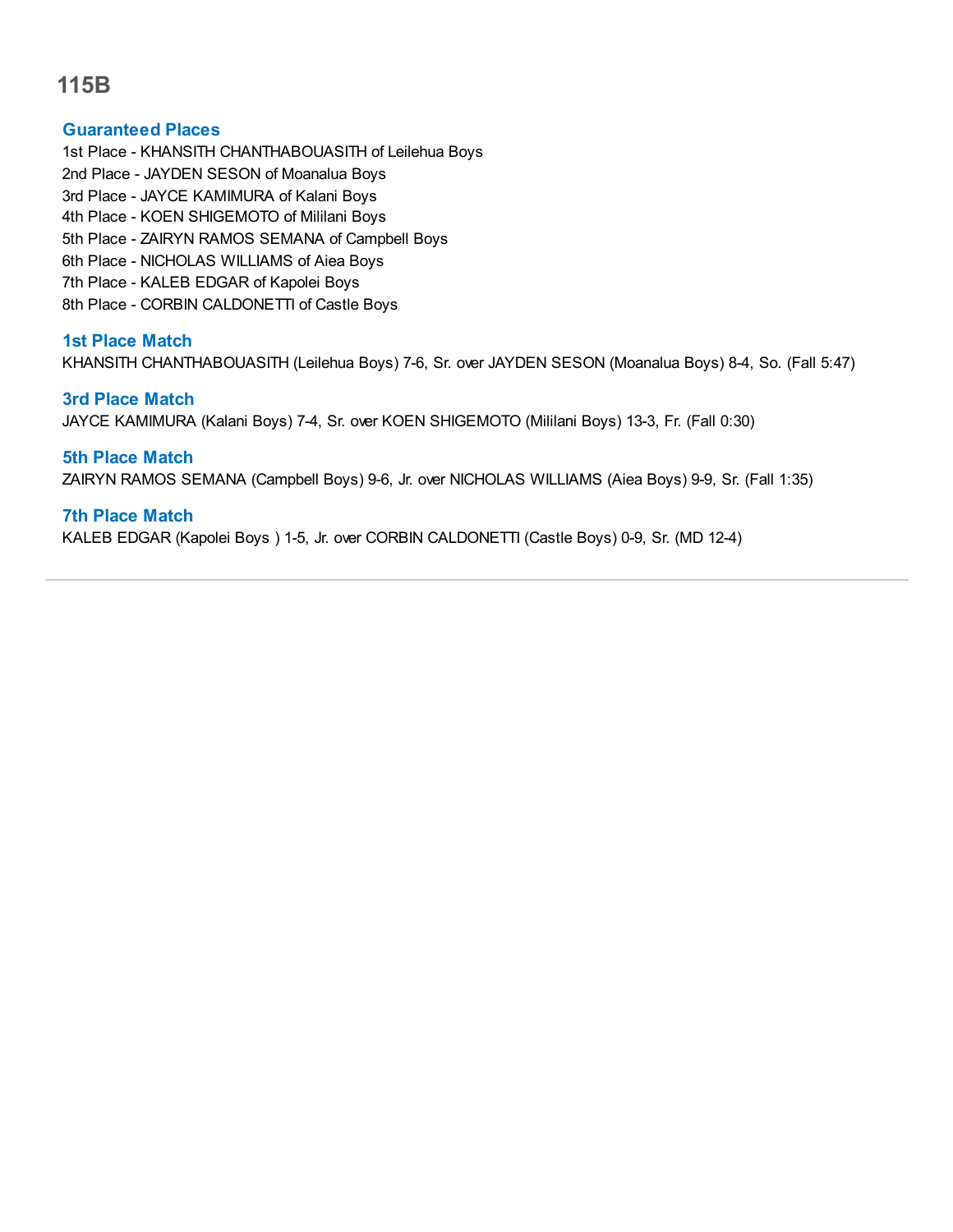## **Guaranteed Places**

1st Place - KHANSITH CHANTHABOUASITH of Leilehua Boys 2nd Place - JAYDEN SESON of Moanalua Boys 3rd Place - JAYCE KAMIMURA of Kalani Boys 4th Place - KOEN SHIGEMOTO of Mililani Boys 5th Place - ZAIRYN RAMOS SEMANA of Campbell Boys 6th Place - NICHOLAS WILLIAMS of Aiea Boys 7th Place - KALEB EDGAR of Kapolei Boys 8th Place - CORBIN CALDONETTI of Castle Boys

## **1st Place Match**

KHANSITH CHANTHABOUASITH (Leilehua Boys) 7-6, Sr. over JAYDEN SESON (Moanalua Boys) 8-4, So. (Fall 5:47)

#### **3rd Place Match**

JAYCE KAMIMURA (Kalani Boys) 7-4, Sr. over KOEN SHIGEMOTO (Mililani Boys) 13-3, Fr. (Fall 0:30)

## **5th Place Match**

ZAIRYN RAMOS SEMANA (Campbell Boys) 9-6, Jr. over NICHOLAS WILLIAMS (Aiea Boys) 9-9, Sr. (Fall 1:35)

## **7th Place Match**

KALEB EDGAR (Kapolei Boys ) 1-5, Jr. over CORBIN CALDONETTI (Castle Boys) 0-9, Sr. (MD 12-4)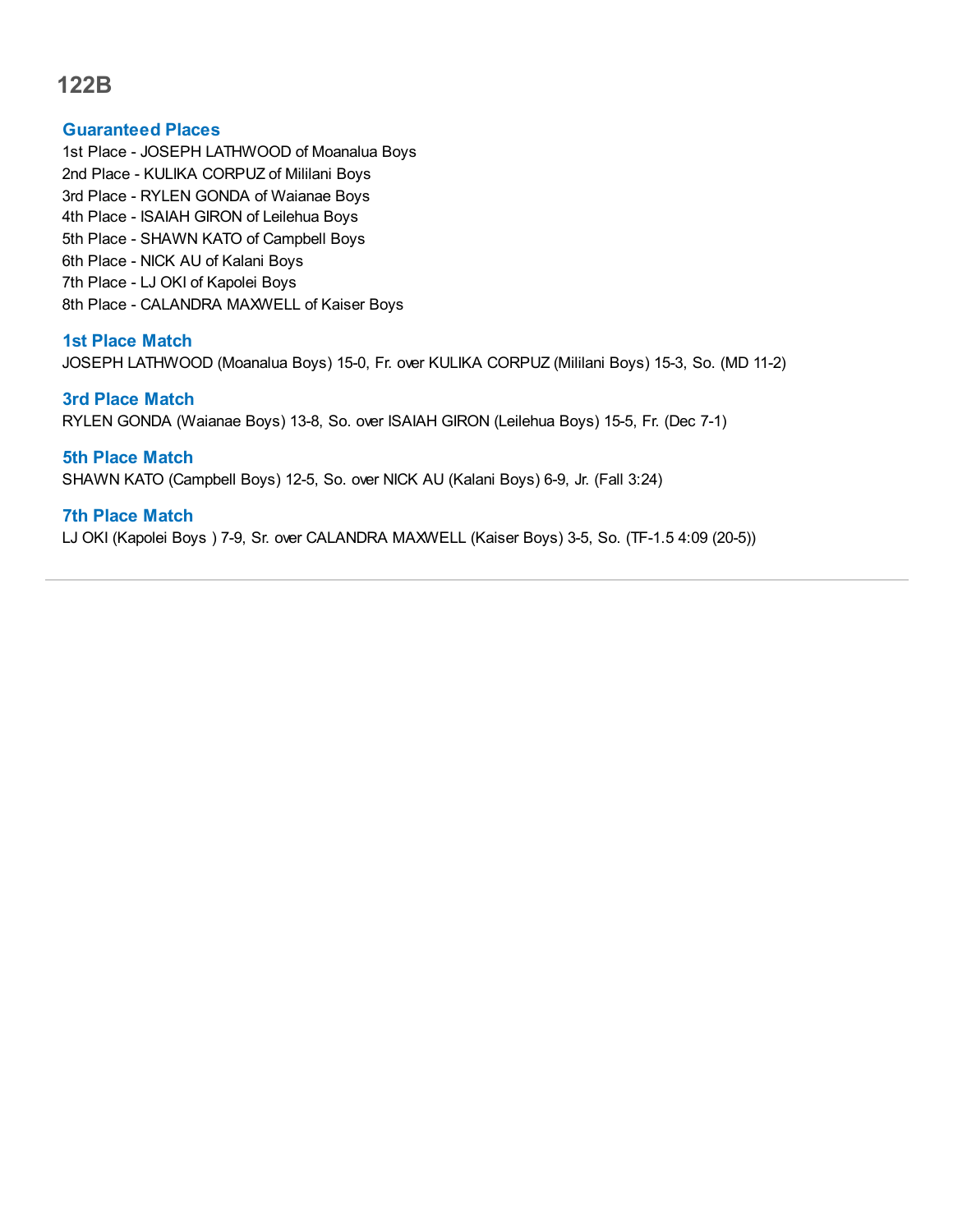#### **Guaranteed Places**

1st Place - JOSEPH LATHWOOD of Moanalua Boys 2nd Place - KULIKA CORPUZ of Mililani Boys 3rd Place - RYLEN GONDA of Waianae Boys 4th Place - ISAIAH GIRON of Leilehua Boys 5th Place - SHAWN KATO of Campbell Boys 6th Place - NICK AU of Kalani Boys 7th Place - LJ OKI of Kapolei Boys 8th Place - CALANDRA MAXWELL of Kaiser Boys

## **1st Place Match**

JOSEPH LATHWOOD (Moanalua Boys) 15-0, Fr. over KULIKA CORPUZ (Mililani Boys) 15-3, So. (MD 11-2)

#### **3rd Place Match**

RYLEN GONDA (Waianae Boys) 13-8, So. over ISAIAH GIRON (Leilehua Boys) 15-5, Fr. (Dec 7-1)

## **5th Place Match**

SHAWN KATO (Campbell Boys) 12-5, So. over NICK AU (Kalani Boys) 6-9, Jr. (Fall 3:24)

## **7th Place Match**

LJ OKI (Kapolei Boys ) 7-9, Sr. over CALANDRA MAXWELL (Kaiser Boys) 3-5, So. (TF-1.5 4:09 (20-5))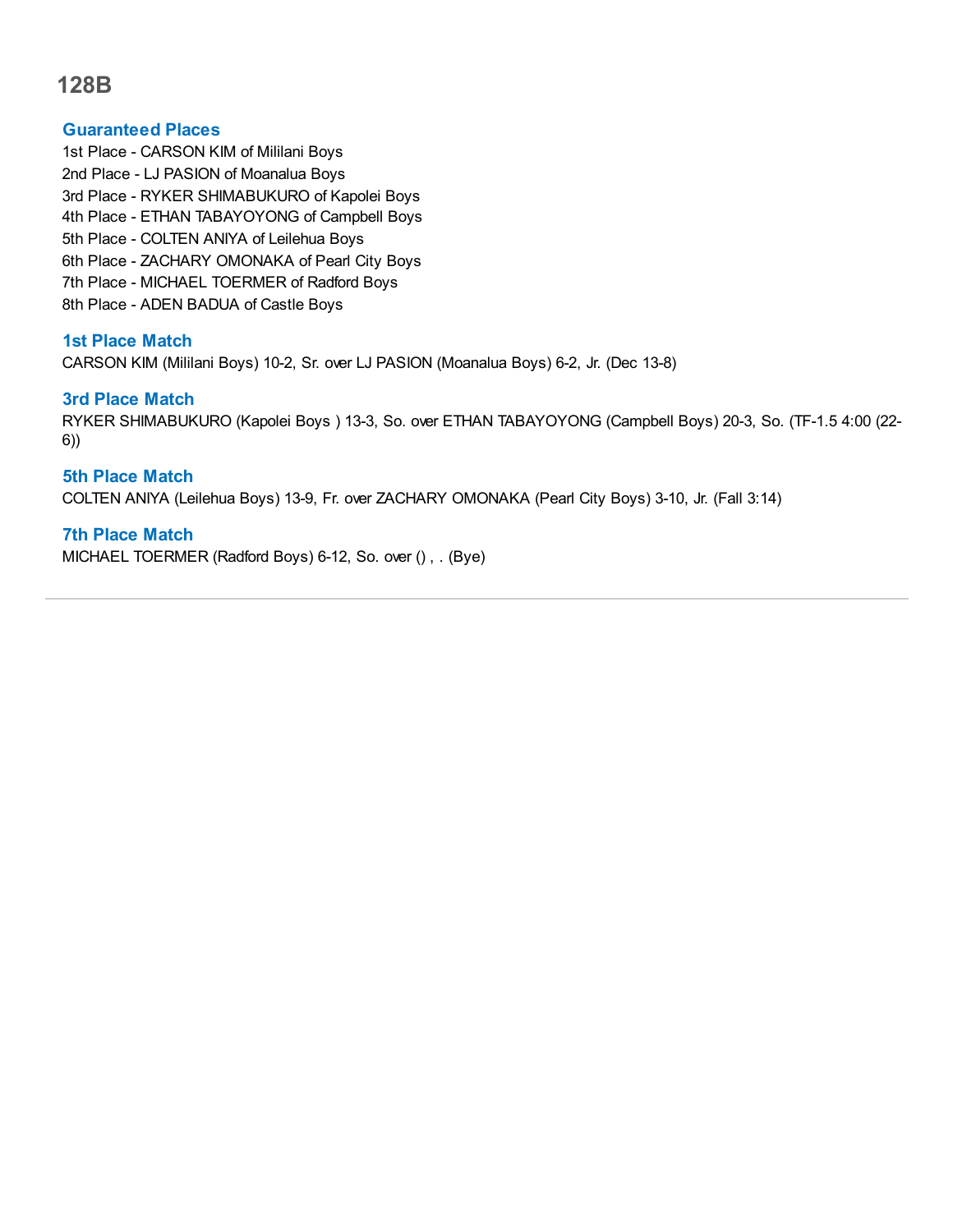## **Guaranteed Places**

1st Place - CARSON KIM of Mililani Boys 2nd Place - LJ PASION of Moanalua Boys 3rd Place - RYKER SHIMABUKURO of Kapolei Boys 4th Place - ETHAN TABAYOYONG of Campbell Boys 5th Place - COLTEN ANIYA of Leilehua Boys 6th Place - ZACHARY OMONAKA of Pearl City Boys 7th Place - MICHAEL TOERMER of Radford Boys 8th Place - ADEN BADUA of Castle Boys

## **1st Place Match**

CARSON KIM (Mililani Boys) 10-2, Sr. over LJ PASION (Moanalua Boys) 6-2, Jr. (Dec 13-8)

## **3rd Place Match**

RYKER SHIMABUKURO (Kapolei Boys ) 13-3, So. over ETHAN TABAYOYONG (Campbell Boys) 20-3, So. (TF-1.5 4:00 (22- 6))

## **5th Place Match**

COLTEN ANIYA (Leilehua Boys) 13-9, Fr. over ZACHARY OMONAKA (Pearl City Boys) 3-10, Jr. (Fall 3:14)

#### **7th Place Match**

MICHAEL TOERMER (Radford Boys) 6-12, So. over () , . (Bye)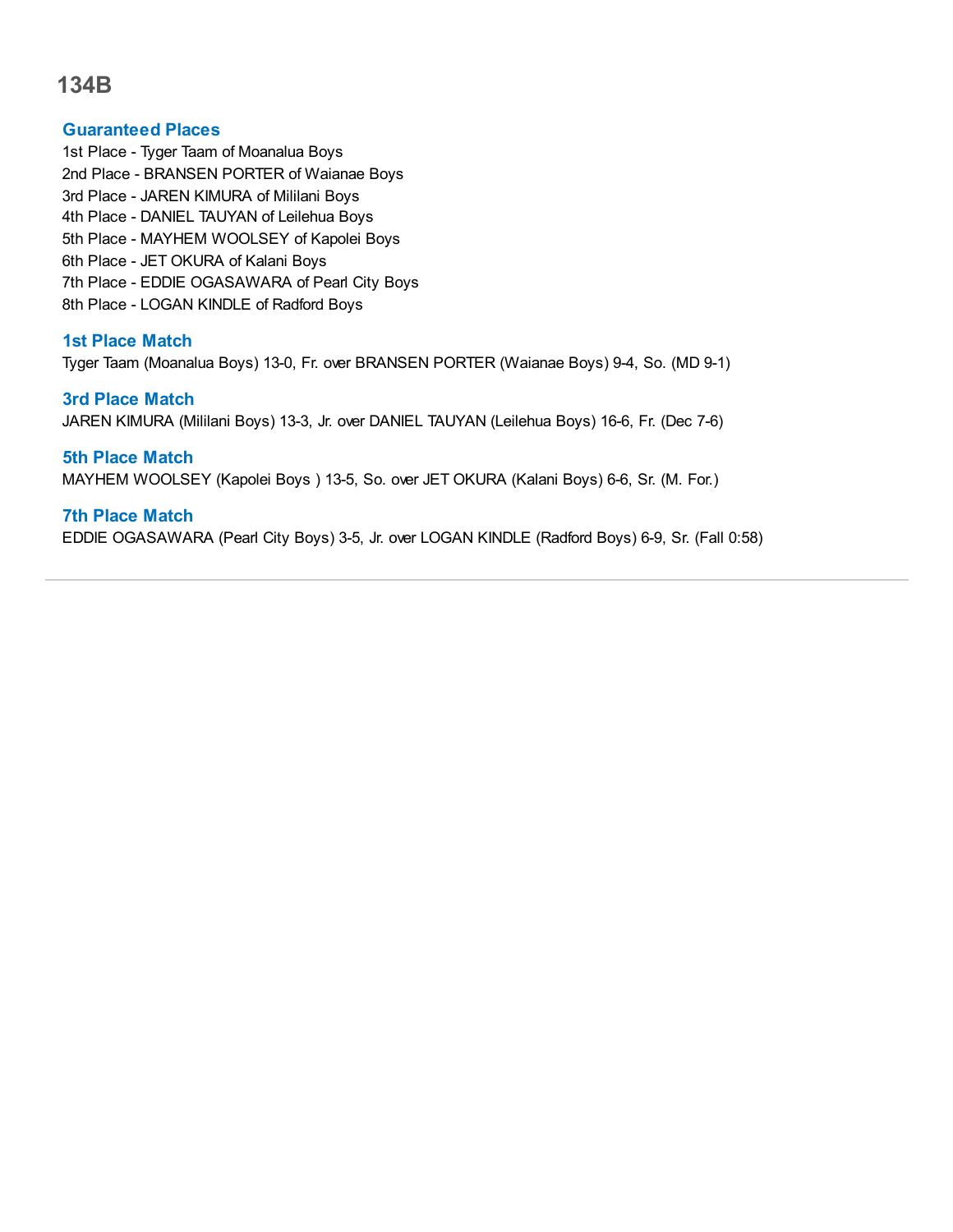#### **Guaranteed Places**

1st Place - Tyger Taam of Moanalua Boys 2nd Place - BRANSEN PORTER of Waianae Boys 3rd Place - JAREN KIMURA of Mililani Boys 4th Place - DANIEL TAUYAN of Leilehua Boys 5th Place - MAYHEM WOOLSEY of Kapolei Boys 6th Place - JET OKURA of Kalani Boys 7th Place - EDDIE OGASAWARA of Pearl City Boys 8th Place - LOGAN KINDLE of Radford Boys

## **1st Place Match**

Tyger Taam (Moanalua Boys) 13-0, Fr. over BRANSEN PORTER (Waianae Boys) 9-4, So. (MD 9-1)

## **3rd Place Match**

JAREN KIMURA (Mililani Boys) 13-3, Jr. over DANIEL TAUYAN (Leilehua Boys) 16-6, Fr. (Dec 7-6)

**5th Place Match** MAYHEM WOOLSEY (Kapolei Boys ) 13-5, So. over JET OKURA (Kalani Boys) 6-6, Sr. (M. For.)

## **7th Place Match**

EDDIE OGASAWARA (Pearl City Boys) 3-5, Jr. over LOGAN KINDLE (Radford Boys) 6-9, Sr. (Fall 0:58)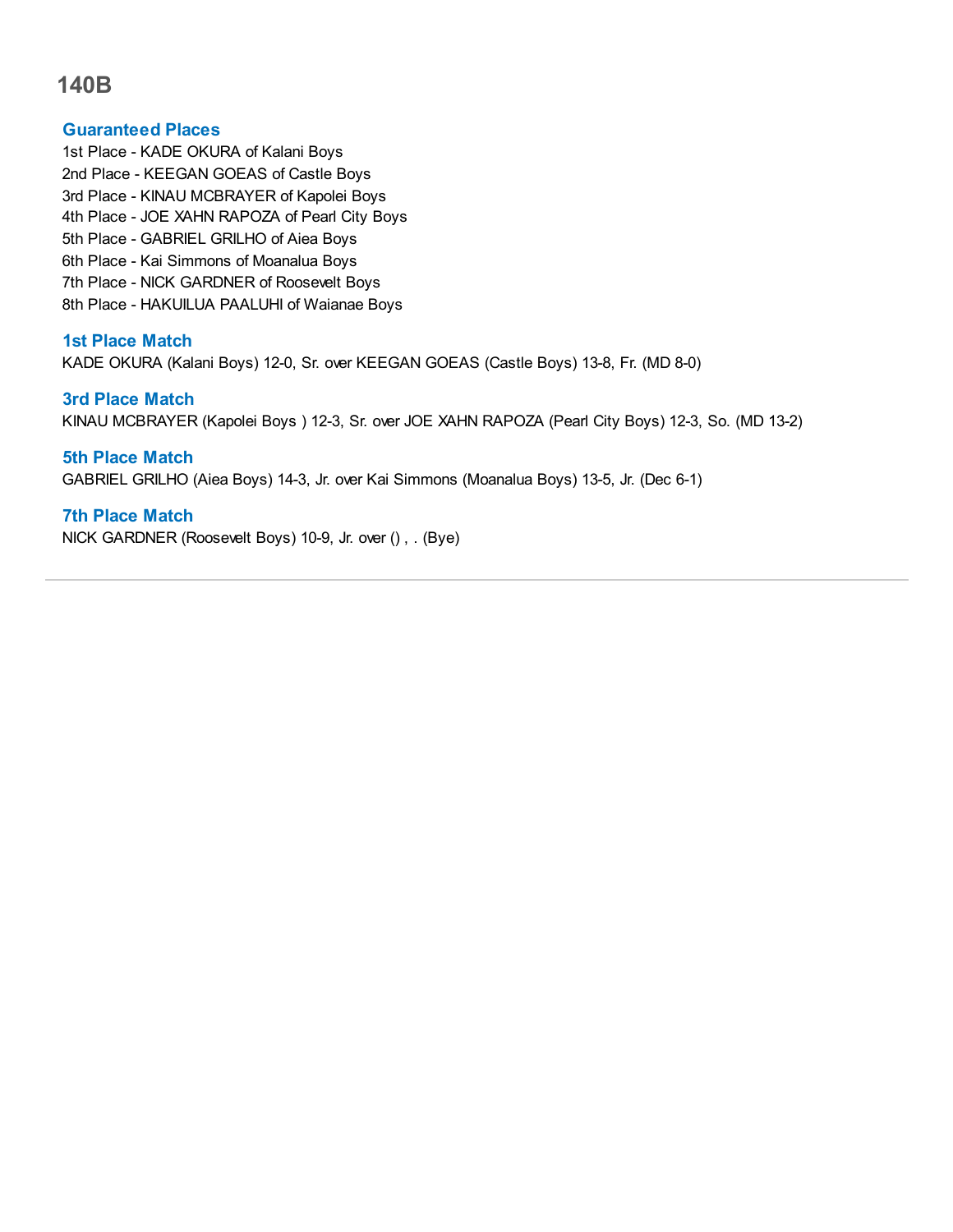#### **Guaranteed Places**

1st Place - KADE OKURA of Kalani Boys 2nd Place - KEEGAN GOEAS of Castle Boys 3rd Place - KINAU MCBRAYER of Kapolei Boys 4th Place - JOE XAHN RAPOZA of Pearl City Boys 5th Place - GABRIEL GRILHO of Aiea Boys 6th Place - Kai Simmons of Moanalua Boys 7th Place - NICK GARDNER of Roosevelt Boys 8th Place - HAKUILUA PAALUHI of Waianae Boys

## **1st Place Match**

KADE OKURA (Kalani Boys) 12-0, Sr. over KEEGAN GOEAS (Castle Boys) 13-8, Fr. (MD 8-0)

#### **3rd Place Match**

KINAU MCBRAYER (Kapolei Boys ) 12-3, Sr. over JOE XAHN RAPOZA (Pearl City Boys) 12-3, So. (MD 13-2)

## **5th Place Match**

GABRIEL GRILHO (Aiea Boys) 14-3, Jr. over Kai Simmons (Moanalua Boys) 13-5, Jr. (Dec 6-1)

## **7th Place Match**

NICK GARDNER (Roosevelt Boys) 10-9, Jr. over () , . (Bye)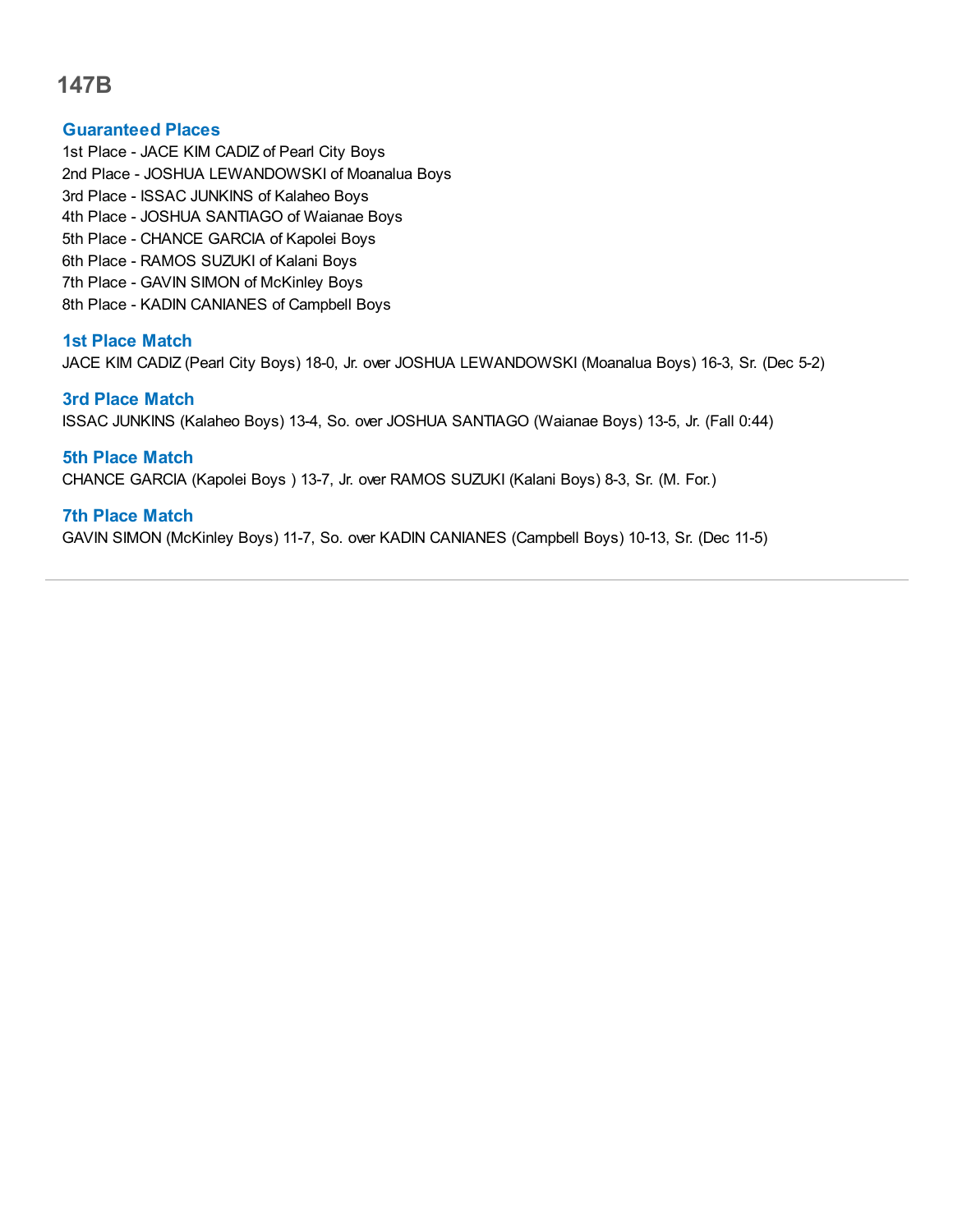## **Guaranteed Places**

1st Place - JACE KIM CADIZ of Pearl City Boys 2nd Place - JOSHUA LEWANDOWSKI of Moanalua Boys 3rd Place - ISSAC JUNKINS of Kalaheo Boys 4th Place - JOSHUA SANTIAGO of Waianae Boys 5th Place - CHANCE GARCIA of Kapolei Boys 6th Place - RAMOS SUZUKI of Kalani Boys 7th Place - GAVIN SIMON of McKinley Boys 8th Place - KADIN CANIANES of Campbell Boys

## **1st Place Match**

JACE KIM CADIZ (Pearl City Boys) 18-0, Jr. over JOSHUA LEWANDOWSKI (Moanalua Boys) 16-3, Sr. (Dec 5-2)

#### **3rd Place Match**

ISSAC JUNKINS (Kalaheo Boys) 13-4, So. over JOSHUA SANTIAGO (Waianae Boys) 13-5, Jr. (Fall 0:44)

## **5th Place Match**

CHANCE GARCIA (Kapolei Boys ) 13-7, Jr. over RAMOS SUZUKI (Kalani Boys) 8-3, Sr. (M. For.)

## **7th Place Match**

GAVIN SIMON (McKinley Boys) 11-7, So. over KADIN CANIANES (Campbell Boys) 10-13, Sr. (Dec 11-5)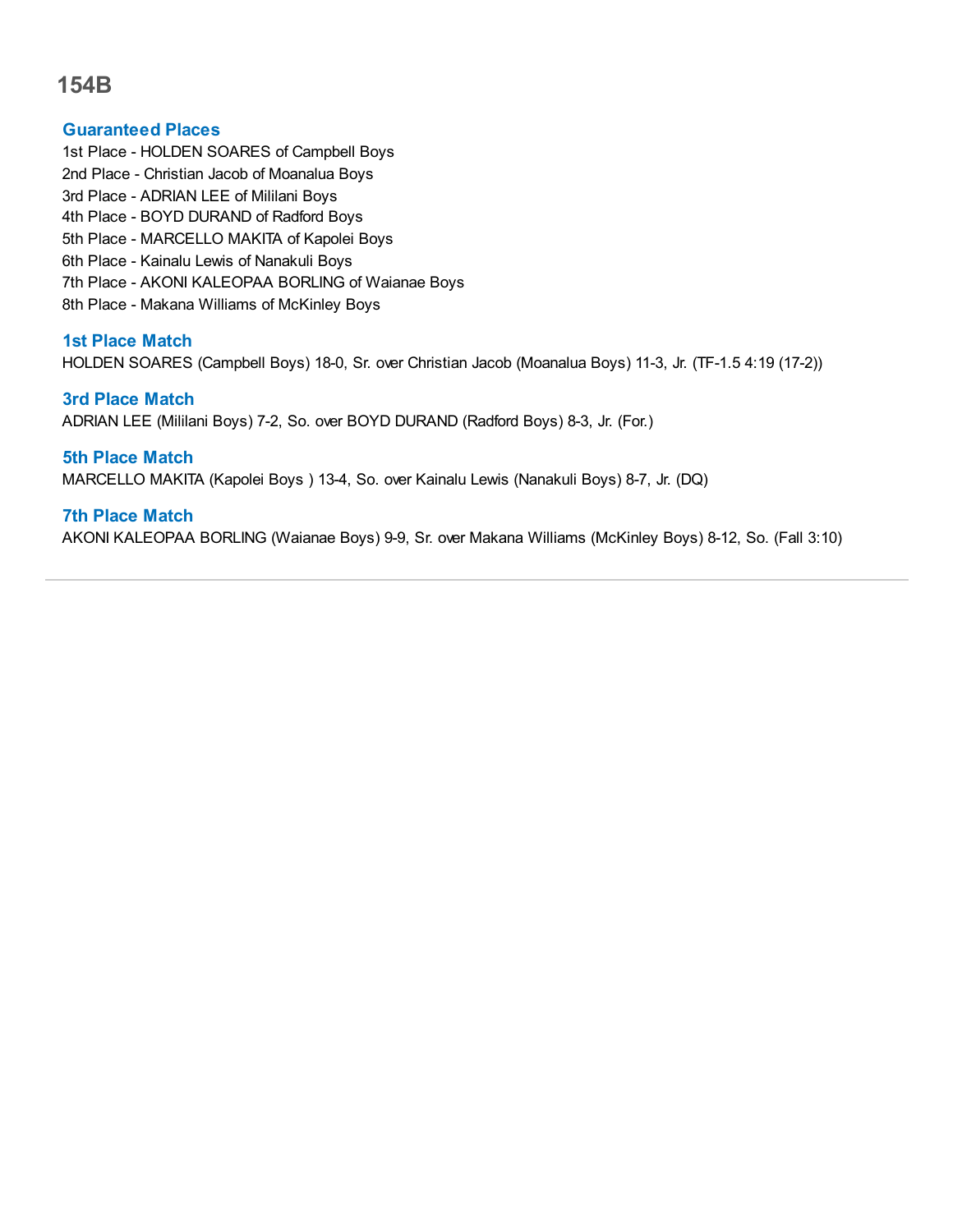## **Guaranteed Places**

- 1st Place HOLDEN SOARES of Campbell Boys
- 2nd Place Christian Jacob of Moanalua Boys
- 3rd Place ADRIAN LEE of Mililani Boys
- 4th Place BOYD DURAND of Radford Boys
- 5th Place MARCELLO MAKITA of Kapolei Boys
- 6th Place Kainalu Lewis of Nanakuli Boys
- 7th Place AKONI KALEOPAA BORLING of Waianae Boys
- 8th Place Makana Williams of McKinley Boys

## **1st Place Match**

HOLDEN SOARES (Campbell Boys) 18-0, Sr. over Christian Jacob (Moanalua Boys) 11-3, Jr. (TF-1.5 4:19 (17-2))

## **3rd Place Match**

ADRIAN LEE (Mililani Boys) 7-2, So. over BOYD DURAND (Radford Boys) 8-3, Jr. (For.)

## **5th Place Match**

MARCELLO MAKITA (Kapolei Boys ) 13-4, So. over Kainalu Lewis (Nanakuli Boys) 8-7, Jr. (DQ)

## **7th Place Match**

AKONI KALEOPAA BORLING (Waianae Boys) 9-9, Sr. over Makana Williams (McKinley Boys) 8-12, So. (Fall 3:10)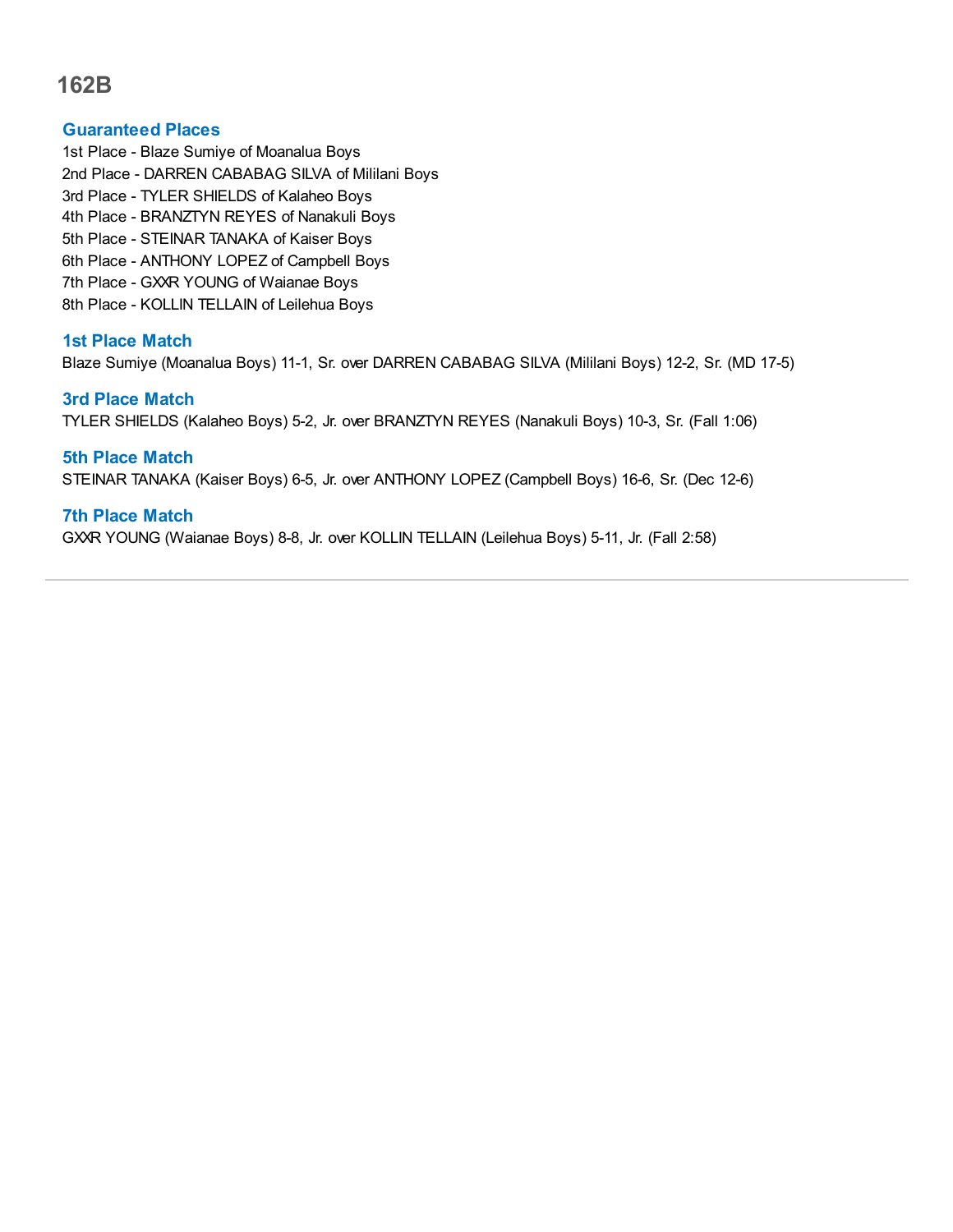#### **Guaranteed Places**

1st Place - Blaze Sumiye of Moanalua Boys 2nd Place - DARREN CABABAG SILVA of Mililani Boys 3rd Place - TYLER SHIELDS of Kalaheo Boys 4th Place - BRANZTYN REYES of Nanakuli Boys 5th Place - STEINAR TANAKA of Kaiser Boys 6th Place - ANTHONY LOPEZ of Campbell Boys 7th Place - GXXR YOUNG of Waianae Boys 8th Place - KOLLIN TELLAIN of Leilehua Boys

## **1st Place Match**

Blaze Sumiye (Moanalua Boys) 11-1, Sr. over DARREN CABABAG SILVA (Mililani Boys) 12-2, Sr. (MD 17-5)

#### **3rd Place Match**

TYLER SHIELDS (Kalaheo Boys) 5-2, Jr. over BRANZTYN REYES (Nanakuli Boys) 10-3, Sr. (Fall 1:06)

## **5th Place Match** STEINAR TANAKA (Kaiser Boys) 6-5, Jr. over ANTHONY LOPEZ (Campbell Boys) 16-6, Sr. (Dec 12-6)

## **7th Place Match**

GXXR YOUNG (Waianae Boys) 8-8, Jr. over KOLLIN TELLAIN (Leilehua Boys) 5-11, Jr. (Fall 2:58)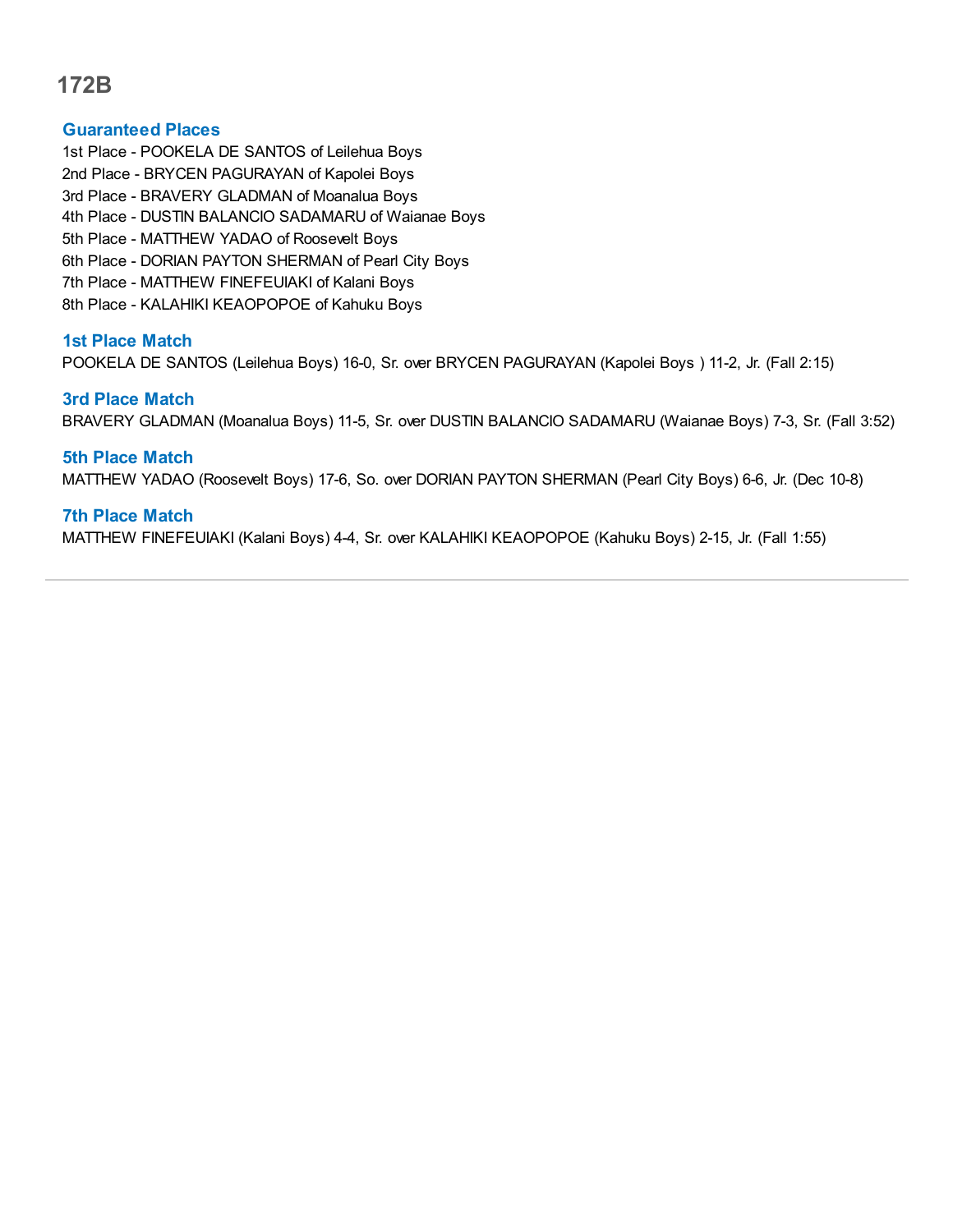## **Guaranteed Places**

- 1st Place POOKELA DE SANTOS of Leilehua Boys
- 2nd Place BRYCEN PAGURAYAN of Kapolei Boys
- 3rd Place BRAVERY GLADMAN of Moanalua Boys
- 4th Place DUSTIN BALANCIO SADAMARU of Waianae Boys
- 5th Place MATTHEW YADAO of Roosevelt Boys
- 6th Place DORIAN PAYTON SHERMAN of Pearl City Boys
- 7th Place MATTHEW FINEFEUIAKI of Kalani Boys
- 8th Place KALAHIKI KEAOPOPOE of Kahuku Boys

## **1st Place Match**

POOKELA DE SANTOS (Leilehua Boys) 16-0, Sr. over BRYCEN PAGURAYAN (Kapolei Boys ) 11-2, Jr. (Fall 2:15)

## **3rd Place Match**

BRAVERY GLADMAN (Moanalua Boys) 11-5, Sr. over DUSTIN BALANCIO SADAMARU (Waianae Boys) 7-3, Sr. (Fall 3:52)

## **5th Place Match**

MATTHEW YADAO (Roosevelt Boys) 17-6, So. over DORIAN PAYTON SHERMAN (Pearl City Boys) 6-6, Jr. (Dec 10-8)

## **7th Place Match**

MATTHEW FINEFEUIAKI (Kalani Boys) 4-4, Sr. over KALAHIKI KEAOPOPOE (Kahuku Boys) 2-15, Jr. (Fall 1:55)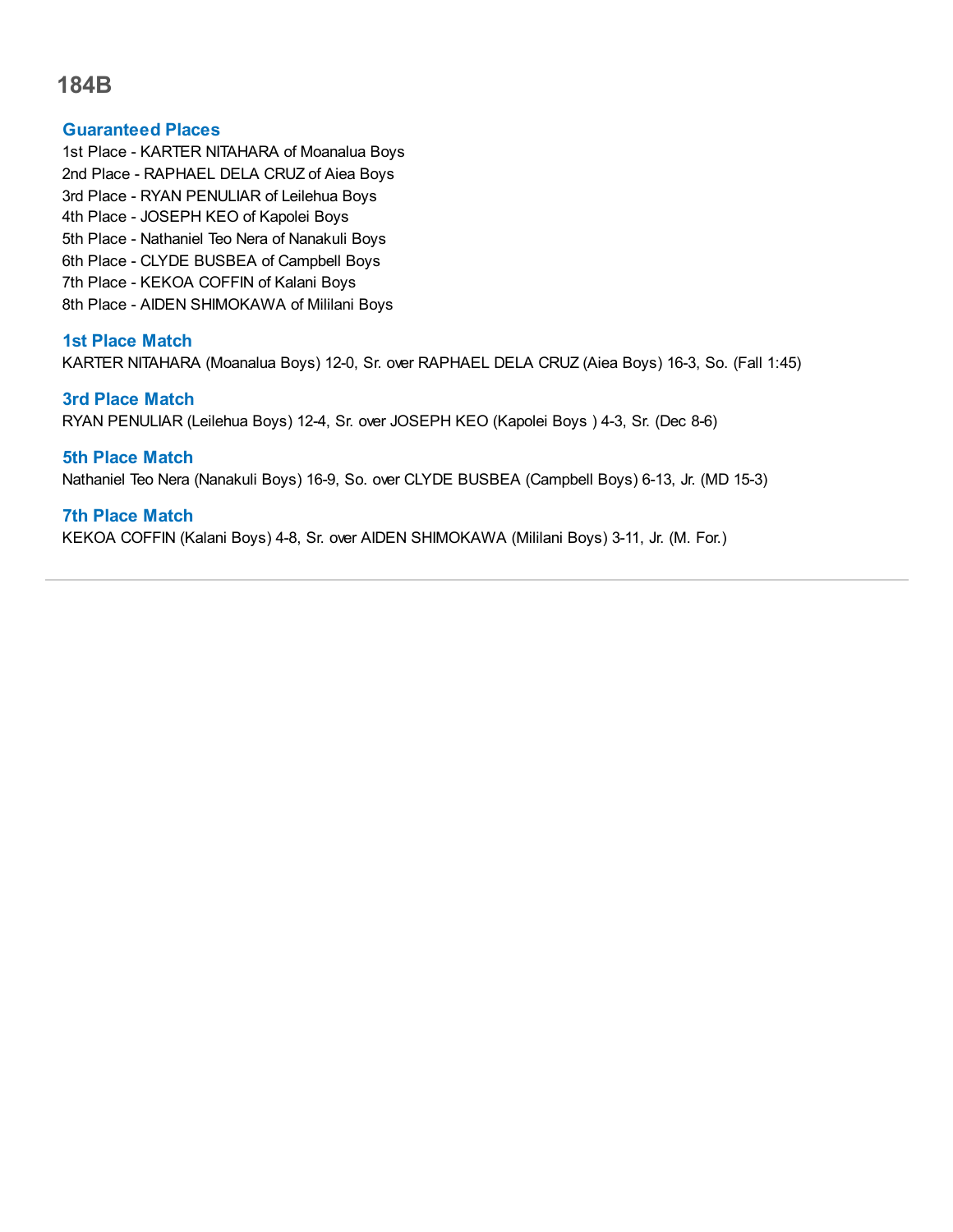### **Guaranteed Places**

- 1st Place KARTER NITAHARA of Moanalua Boys
- 2nd Place RAPHAEL DELA CRUZ of Aiea Boys
- 3rd Place RYAN PENULIAR of Leilehua Boys
- 4th Place JOSEPH KEO of Kapolei Boys
- 5th Place Nathaniel Teo Nera of Nanakuli Boys
- 6th Place CLYDE BUSBEA of Campbell Boys
- 7th Place KEKOA COFFIN of Kalani Boys
- 8th Place AIDEN SHIMOKAWA of Mililani Boys

## **1st Place Match**

KARTER NITAHARA (Moanalua Boys) 12-0, Sr. over RAPHAEL DELA CRUZ (Aiea Boys) 16-3, So. (Fall 1:45)

## **3rd Place Match**

RYAN PENULIAR (Leilehua Boys) 12-4, Sr. over JOSEPH KEO (Kapolei Boys ) 4-3, Sr. (Dec 8-6)

## **5th Place Match**

Nathaniel Teo Nera (Nanakuli Boys) 16-9, So. over CLYDE BUSBEA (Campbell Boys) 6-13, Jr. (MD 15-3)

## **7th Place Match**

KEKOA COFFIN (Kalani Boys) 4-8, Sr. over AIDEN SHIMOKAWA (Mililani Boys) 3-11, Jr. (M. For.)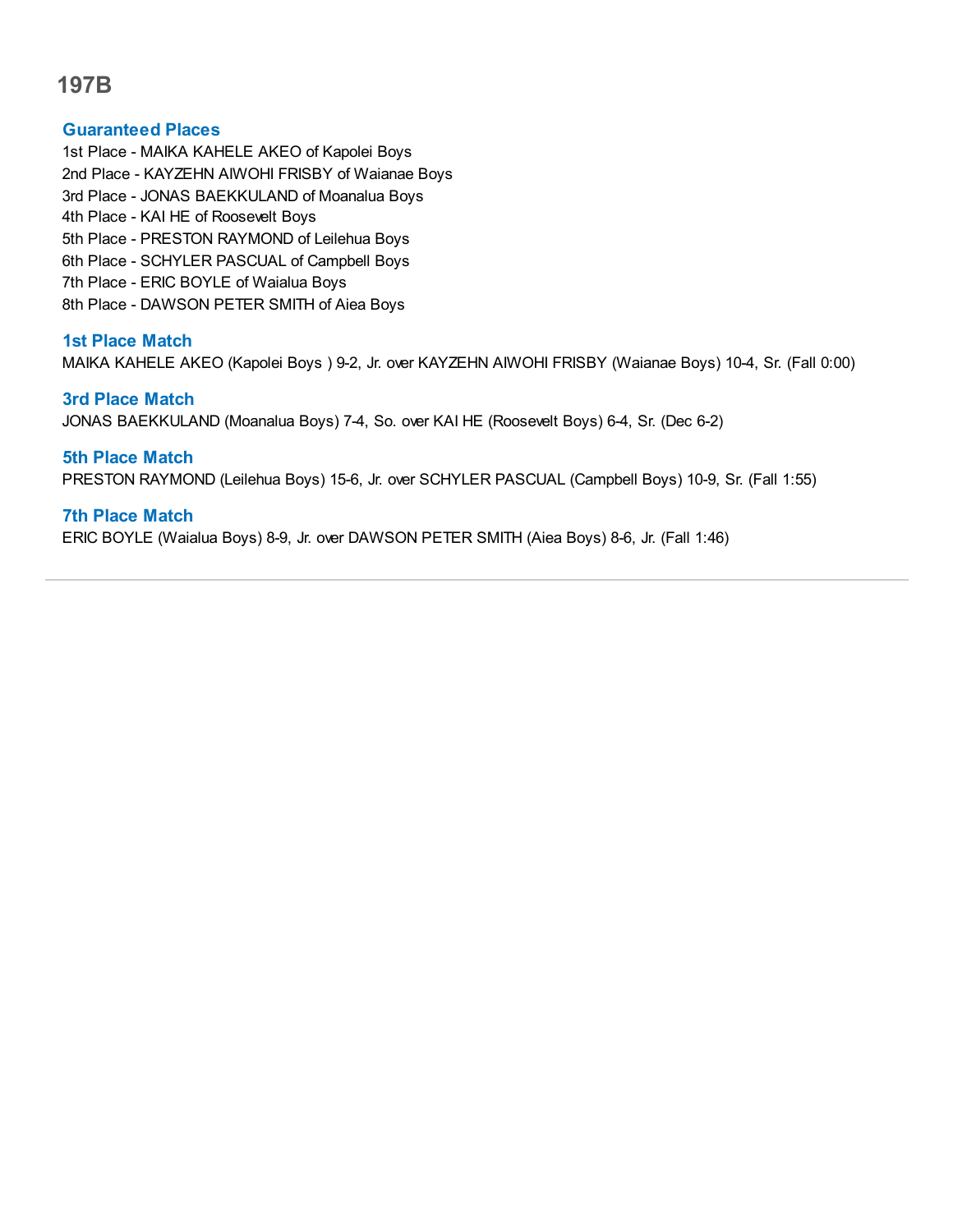### **Guaranteed Places**

1st Place - MAIKA KAHELE AKEO of Kapolei Boys 2nd Place - KAYZEHN AIWOHI FRISBY of Waianae Boys 3rd Place - JONAS BAEKKULAND of Moanalua Boys 4th Place - KAI HE of Roosevelt Boys 5th Place - PRESTON RAYMOND of Leilehua Boys 6th Place - SCHYLER PASCUAL of Campbell Boys 7th Place - ERIC BOYLE of Waialua Boys

8th Place - DAWSON PETER SMITH of Aiea Boys

## **1st Place Match**

MAIKA KAHELE AKEO (Kapolei Boys ) 9-2, Jr. over KAYZEHN AIWOHI FRISBY (Waianae Boys) 10-4, Sr. (Fall 0:00)

#### **3rd Place Match**

JONAS BAEKKULAND (Moanalua Boys) 7-4, So. over KAI HE (Roosevelt Boys) 6-4, Sr. (Dec 6-2)

## **5th Place Match**

PRESTON RAYMOND (Leilehua Boys) 15-6, Jr. over SCHYLER PASCUAL (Campbell Boys) 10-9, Sr. (Fall 1:55)

## **7th Place Match**

ERIC BOYLE (Waialua Boys) 8-9, Jr. over DAWSON PETER SMITH (Aiea Boys) 8-6, Jr. (Fall 1:46)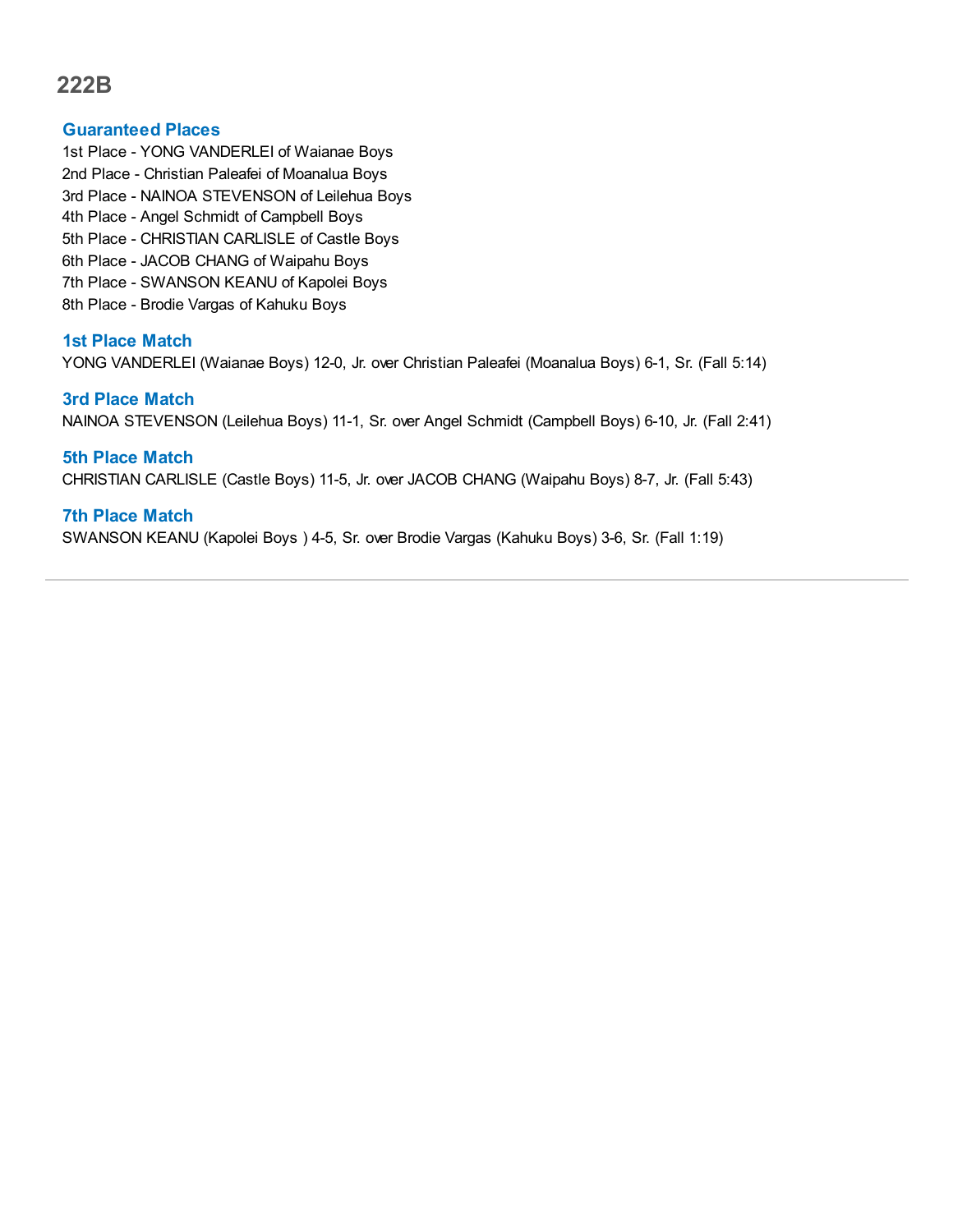#### **Guaranteed Places**

- 1st Place YONG VANDERLEI of Waianae Boys
- 2nd Place Christian Paleafei of Moanalua Boys
- 3rd Place NAINOA STEVENSON of Leilehua Boys
- 4th Place Angel Schmidt of Campbell Boys
- 5th Place CHRISTIAN CARLISLE of Castle Boys
- 6th Place JACOB CHANG of Waipahu Boys
- 7th Place SWANSON KEANU of Kapolei Boys
- 8th Place Brodie Vargas of Kahuku Boys

#### **1st Place Match**

YONG VANDERLEI (Waianae Boys) 12-0, Jr. over Christian Paleafei (Moanalua Boys) 6-1, Sr. (Fall 5:14)

#### **3rd Place Match**

NAINOA STEVENSON (Leilehua Boys) 11-1, Sr. over Angel Schmidt (Campbell Boys) 6-10, Jr. (Fall 2:41)

## **5th Place Match**

CHRISTIAN CARLISLE (Castle Boys) 11-5, Jr. over JACOB CHANG (Waipahu Boys) 8-7, Jr. (Fall 5:43)

#### **7th Place Match**

SWANSON KEANU (Kapolei Boys ) 4-5, Sr. over Brodie Vargas (Kahuku Boys) 3-6, Sr. (Fall 1:19)